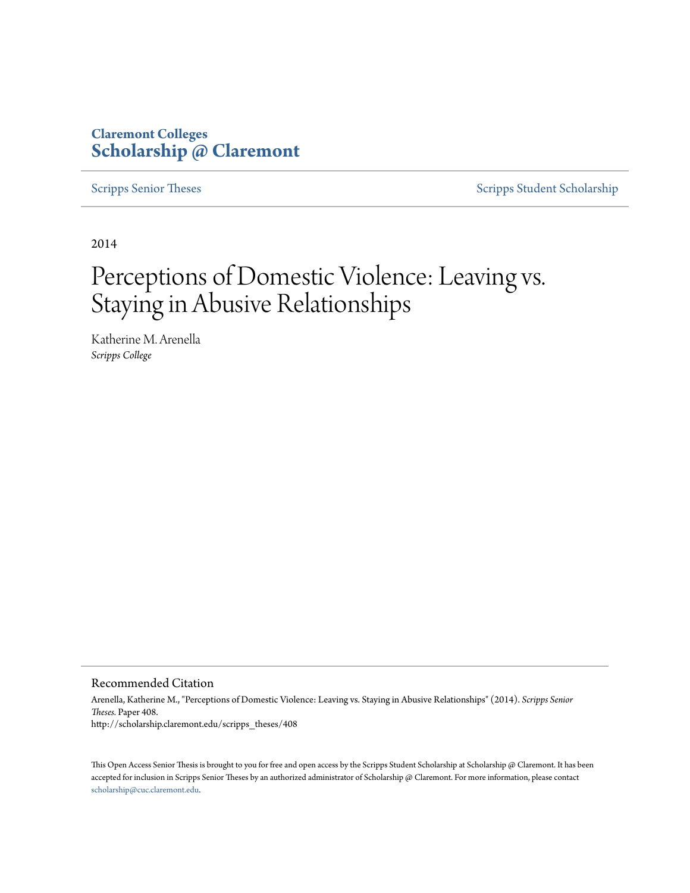## **Claremont Colleges [Scholarship @ Claremont](http://scholarship.claremont.edu)**

[Scripps Senior Theses](http://scholarship.claremont.edu/scripps_theses) [Scripps Student Scholarship](http://scholarship.claremont.edu/scripps_student)

2014

# Perceptions of Domestic Violence: Leaving vs. Staying in Abusive Relationships

Katherine M. Arenella *Scripps College*

#### Recommended Citation

Arenella, Katherine M., "Perceptions of Domestic Violence: Leaving vs. Staying in Abusive Relationships" (2014). *Scripps Senior Theses.* Paper 408. http://scholarship.claremont.edu/scripps\_theses/408

This Open Access Senior Thesis is brought to you for free and open access by the Scripps Student Scholarship at Scholarship @ Claremont. It has been accepted for inclusion in Scripps Senior Theses by an authorized administrator of Scholarship @ Claremont. For more information, please contact [scholarship@cuc.claremont.edu.](mailto:scholarship@cuc.claremont.edu)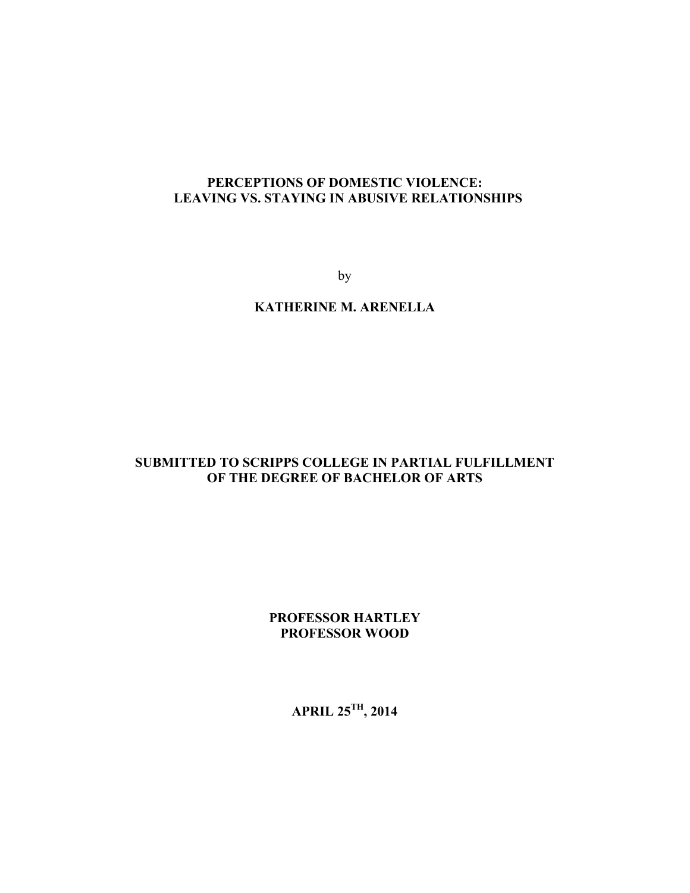## **PERCEPTIONS OF DOMESTIC VIOLENCE: LEAVING VS. STAYING IN ABUSIVE RELATIONSHIPS**

by

## **KATHERINE M. ARENELLA**

## **SUBMITTED TO SCRIPPS COLLEGE IN PARTIAL FULFILLMENT OF THE DEGREE OF BACHELOR OF ARTS**

## **PROFESSOR HARTLEY PROFESSOR WOOD**

**APRIL 25TH, 2014**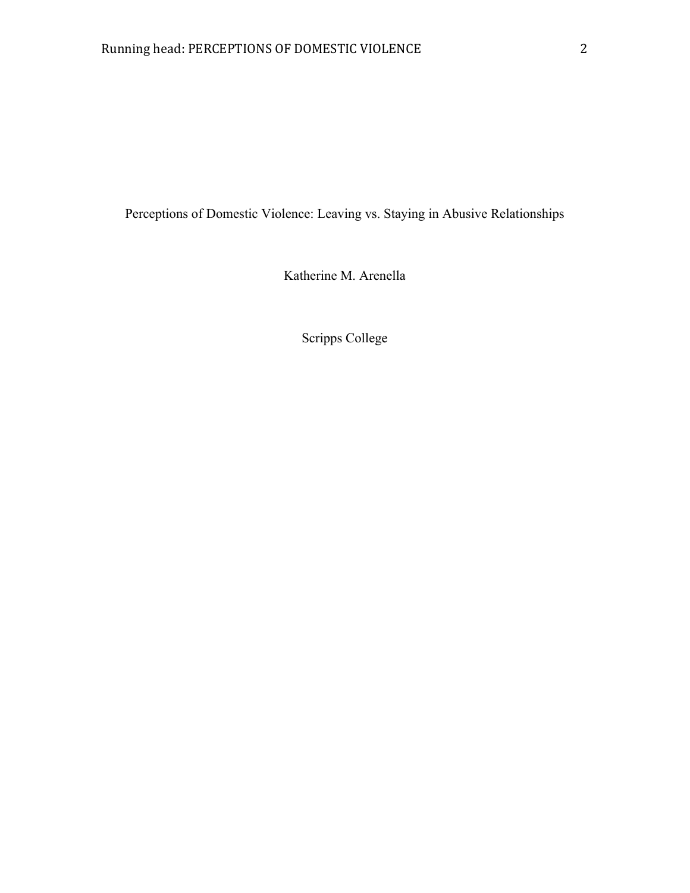Perceptions of Domestic Violence: Leaving vs. Staying in Abusive Relationships

Katherine M. Arenella

Scripps College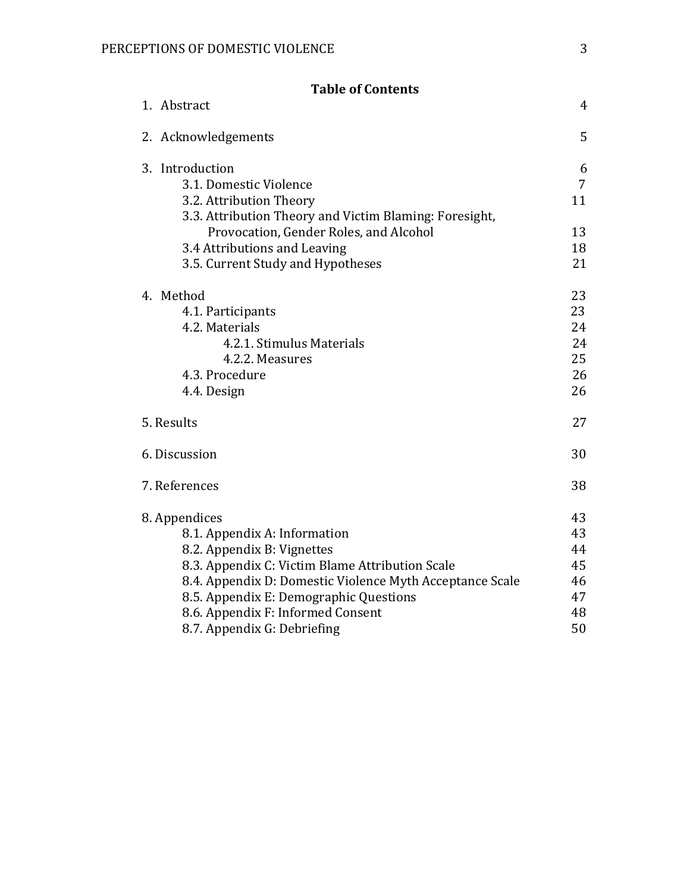| <b>Table of Contents</b>                                 |                |
|----------------------------------------------------------|----------------|
| 1. Abstract                                              | $\overline{4}$ |
| 2. Acknowledgements                                      | 5              |
| 3. Introduction                                          | 6              |
| 3.1. Domestic Violence                                   | $\overline{7}$ |
| 3.2. Attribution Theory                                  | 11             |
| 3.3. Attribution Theory and Victim Blaming: Foresight,   |                |
| Provocation, Gender Roles, and Alcohol                   | 13             |
| 3.4 Attributions and Leaving                             | 18             |
| 3.5. Current Study and Hypotheses                        | 21             |
| 4. Method                                                | 23             |
| 4.1. Participants                                        | 23             |
| 4.2. Materials                                           | 24             |
| 4.2.1. Stimulus Materials                                | 24             |
| 4.2.2. Measures                                          | 25             |
| 4.3. Procedure                                           | 26             |
| 4.4. Design                                              | 26             |
| 5. Results                                               | 27             |
| 6. Discussion                                            | 30             |
| 7. References                                            | 38             |
| 8. Appendices                                            | 43             |
| 8.1. Appendix A: Information                             | 43             |
| 8.2. Appendix B: Vignettes                               | 44             |
| 8.3. Appendix C: Victim Blame Attribution Scale          | 45             |
| 8.4. Appendix D: Domestic Violence Myth Acceptance Scale | 46             |
| 8.5. Appendix E: Demographic Questions                   | 47             |
| 8.6. Appendix F: Informed Consent                        | 48             |
| 8.7. Appendix G: Debriefing                              | 50             |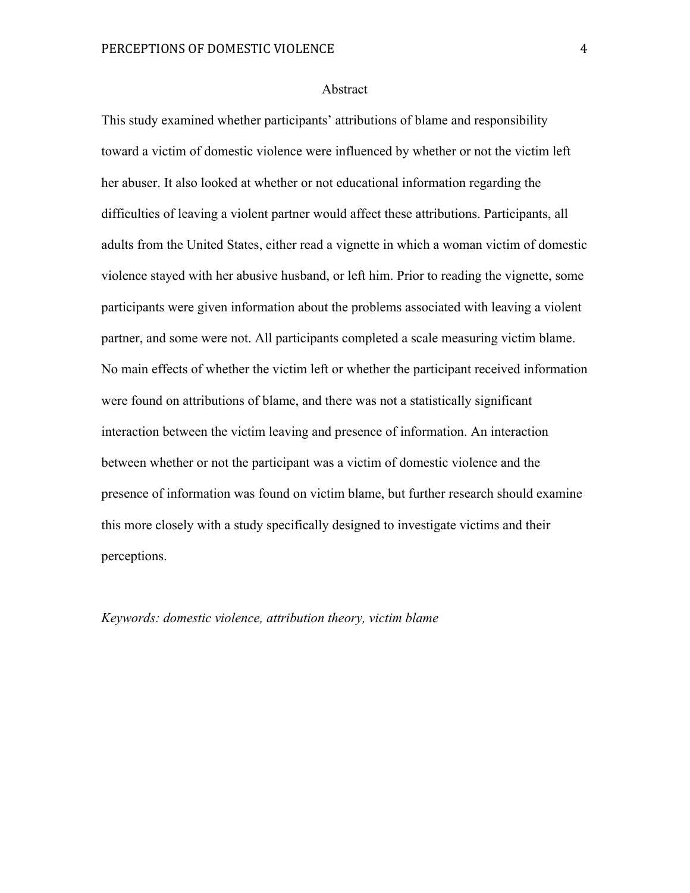#### Abstract

This study examined whether participants' attributions of blame and responsibility toward a victim of domestic violence were influenced by whether or not the victim left her abuser. It also looked at whether or not educational information regarding the difficulties of leaving a violent partner would affect these attributions. Participants, all adults from the United States, either read a vignette in which a woman victim of domestic violence stayed with her abusive husband, or left him. Prior to reading the vignette, some participants were given information about the problems associated with leaving a violent partner, and some were not. All participants completed a scale measuring victim blame. No main effects of whether the victim left or whether the participant received information were found on attributions of blame, and there was not a statistically significant interaction between the victim leaving and presence of information. An interaction between whether or not the participant was a victim of domestic violence and the presence of information was found on victim blame, but further research should examine this more closely with a study specifically designed to investigate victims and their perceptions.

*Keywords: domestic violence, attribution theory, victim blame*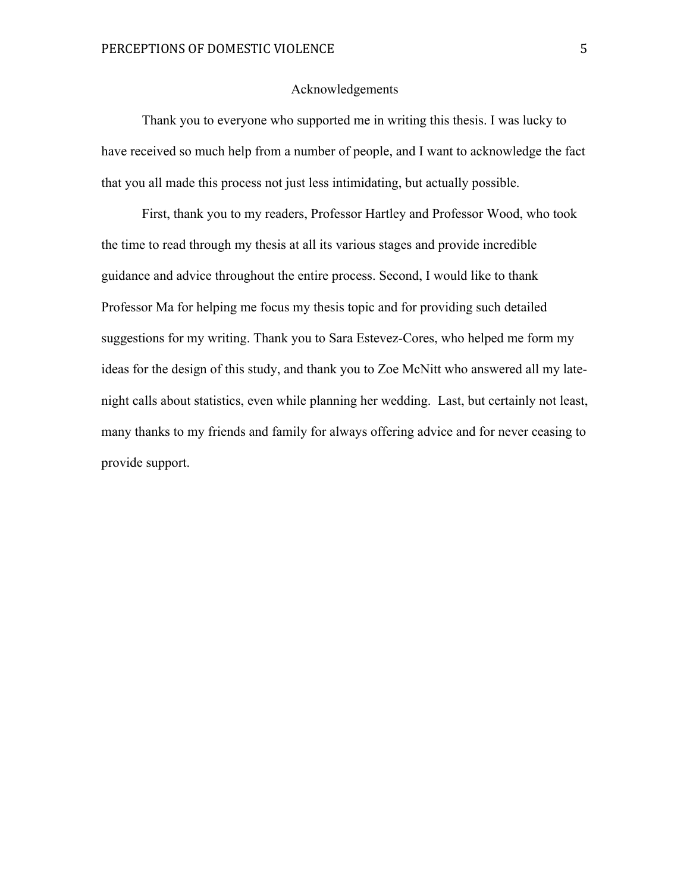#### Acknowledgements

Thank you to everyone who supported me in writing this thesis. I was lucky to have received so much help from a number of people, and I want to acknowledge the fact that you all made this process not just less intimidating, but actually possible.

First, thank you to my readers, Professor Hartley and Professor Wood, who took the time to read through my thesis at all its various stages and provide incredible guidance and advice throughout the entire process. Second, I would like to thank Professor Ma for helping me focus my thesis topic and for providing such detailed suggestions for my writing. Thank you to Sara Estevez-Cores, who helped me form my ideas for the design of this study, and thank you to Zoe McNitt who answered all my latenight calls about statistics, even while planning her wedding. Last, but certainly not least, many thanks to my friends and family for always offering advice and for never ceasing to provide support.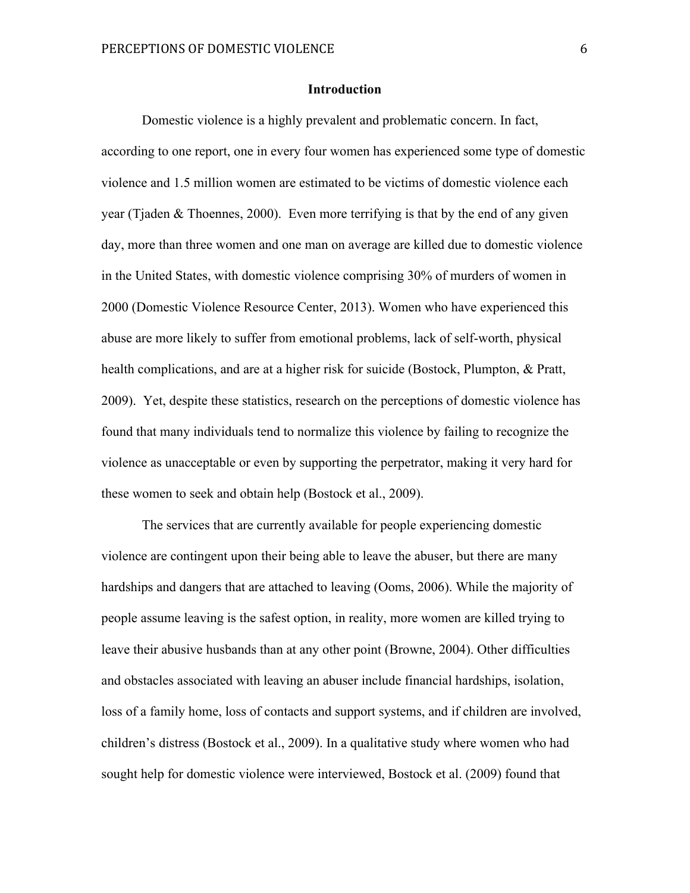#### **Introduction**

Domestic violence is a highly prevalent and problematic concern. In fact, according to one report, one in every four women has experienced some type of domestic violence and 1.5 million women are estimated to be victims of domestic violence each year (Tjaden  $&$  Thoennes, 2000). Even more terrifying is that by the end of any given day, more than three women and one man on average are killed due to domestic violence in the United States, with domestic violence comprising 30% of murders of women in 2000 (Domestic Violence Resource Center, 2013). Women who have experienced this abuse are more likely to suffer from emotional problems, lack of self-worth, physical health complications, and are at a higher risk for suicide (Bostock, Plumpton, & Pratt, 2009). Yet, despite these statistics, research on the perceptions of domestic violence has found that many individuals tend to normalize this violence by failing to recognize the violence as unacceptable or even by supporting the perpetrator, making it very hard for these women to seek and obtain help (Bostock et al., 2009).

The services that are currently available for people experiencing domestic violence are contingent upon their being able to leave the abuser, but there are many hardships and dangers that are attached to leaving (Ooms, 2006). While the majority of people assume leaving is the safest option, in reality, more women are killed trying to leave their abusive husbands than at any other point (Browne, 2004). Other difficulties and obstacles associated with leaving an abuser include financial hardships, isolation, loss of a family home, loss of contacts and support systems, and if children are involved, children's distress (Bostock et al., 2009). In a qualitative study where women who had sought help for domestic violence were interviewed, Bostock et al. (2009) found that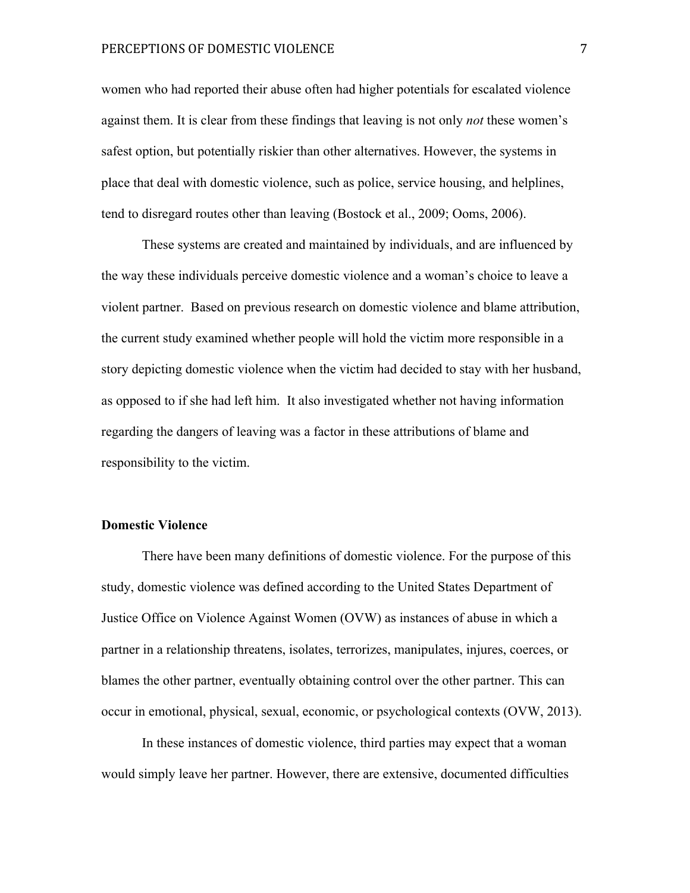#### PERCEPTIONS OF DOMESTIC VIOLENCE 7

women who had reported their abuse often had higher potentials for escalated violence against them. It is clear from these findings that leaving is not only *not* these women's safest option, but potentially riskier than other alternatives. However, the systems in place that deal with domestic violence, such as police, service housing, and helplines, tend to disregard routes other than leaving (Bostock et al., 2009; Ooms, 2006).

These systems are created and maintained by individuals, and are influenced by the way these individuals perceive domestic violence and a woman's choice to leave a violent partner. Based on previous research on domestic violence and blame attribution, the current study examined whether people will hold the victim more responsible in a story depicting domestic violence when the victim had decided to stay with her husband, as opposed to if she had left him. It also investigated whether not having information regarding the dangers of leaving was a factor in these attributions of blame and responsibility to the victim.

#### **Domestic Violence**

There have been many definitions of domestic violence. For the purpose of this study, domestic violence was defined according to the United States Department of Justice Office on Violence Against Women (OVW) as instances of abuse in which a partner in a relationship threatens, isolates, terrorizes, manipulates, injures, coerces, or blames the other partner, eventually obtaining control over the other partner. This can occur in emotional, physical, sexual, economic, or psychological contexts (OVW, 2013).

In these instances of domestic violence, third parties may expect that a woman would simply leave her partner. However, there are extensive, documented difficulties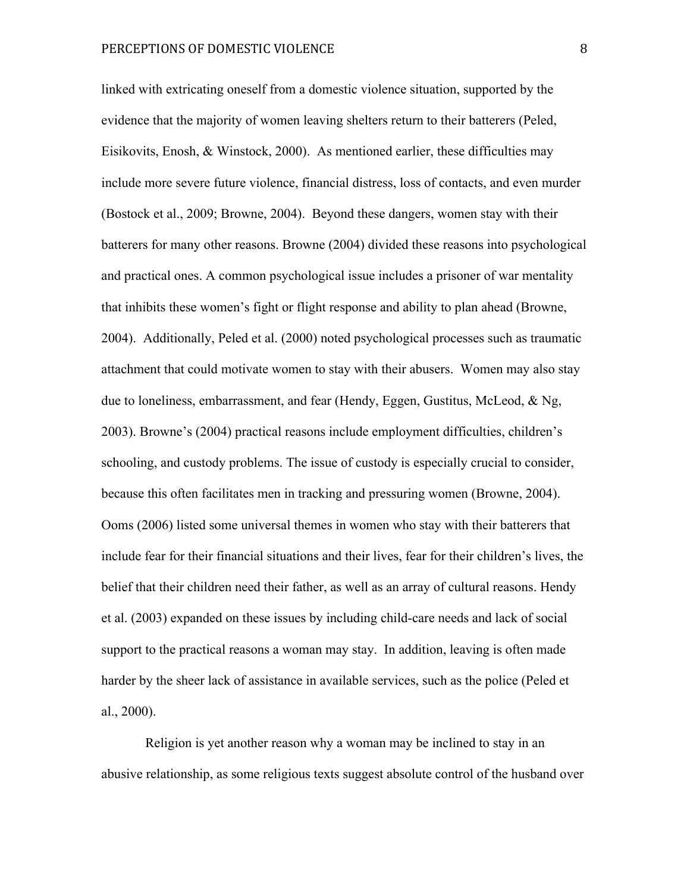linked with extricating oneself from a domestic violence situation, supported by the evidence that the majority of women leaving shelters return to their batterers (Peled, Eisikovits, Enosh, & Winstock, 2000). As mentioned earlier, these difficulties may include more severe future violence, financial distress, loss of contacts, and even murder (Bostock et al., 2009; Browne, 2004). Beyond these dangers, women stay with their batterers for many other reasons. Browne (2004) divided these reasons into psychological and practical ones. A common psychological issue includes a prisoner of war mentality that inhibits these women's fight or flight response and ability to plan ahead (Browne, 2004). Additionally, Peled et al. (2000) noted psychological processes such as traumatic attachment that could motivate women to stay with their abusers. Women may also stay due to loneliness, embarrassment, and fear (Hendy, Eggen, Gustitus, McLeod, & Ng, 2003). Browne's (2004) practical reasons include employment difficulties, children's schooling, and custody problems. The issue of custody is especially crucial to consider, because this often facilitates men in tracking and pressuring women (Browne, 2004). Ooms (2006) listed some universal themes in women who stay with their batterers that include fear for their financial situations and their lives, fear for their children's lives, the belief that their children need their father, as well as an array of cultural reasons. Hendy et al. (2003) expanded on these issues by including child-care needs and lack of social support to the practical reasons a woman may stay. In addition, leaving is often made harder by the sheer lack of assistance in available services, such as the police (Peled et al., 2000).

Religion is yet another reason why a woman may be inclined to stay in an abusive relationship, as some religious texts suggest absolute control of the husband over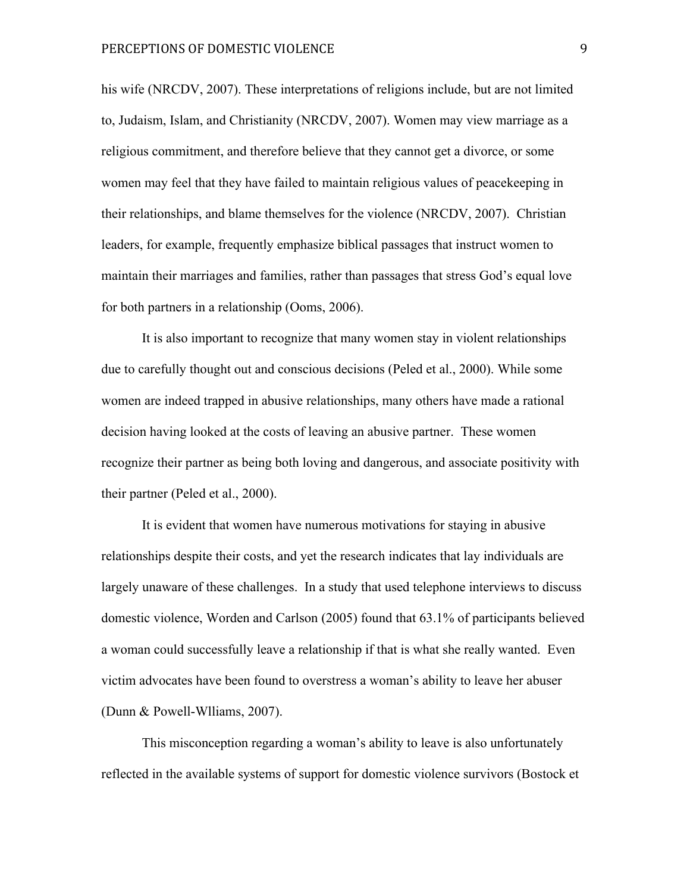his wife (NRCDV, 2007). These interpretations of religions include, but are not limited to, Judaism, Islam, and Christianity (NRCDV, 2007). Women may view marriage as a religious commitment, and therefore believe that they cannot get a divorce, or some women may feel that they have failed to maintain religious values of peacekeeping in their relationships, and blame themselves for the violence (NRCDV, 2007). Christian leaders, for example, frequently emphasize biblical passages that instruct women to maintain their marriages and families, rather than passages that stress God's equal love for both partners in a relationship (Ooms, 2006).

It is also important to recognize that many women stay in violent relationships due to carefully thought out and conscious decisions (Peled et al., 2000). While some women are indeed trapped in abusive relationships, many others have made a rational decision having looked at the costs of leaving an abusive partner. These women recognize their partner as being both loving and dangerous, and associate positivity with their partner (Peled et al., 2000).

It is evident that women have numerous motivations for staying in abusive relationships despite their costs, and yet the research indicates that lay individuals are largely unaware of these challenges. In a study that used telephone interviews to discuss domestic violence, Worden and Carlson (2005) found that 63.1% of participants believed a woman could successfully leave a relationship if that is what she really wanted. Even victim advocates have been found to overstress a woman's ability to leave her abuser (Dunn & Powell-Wlliams, 2007).

This misconception regarding a woman's ability to leave is also unfortunately reflected in the available systems of support for domestic violence survivors (Bostock et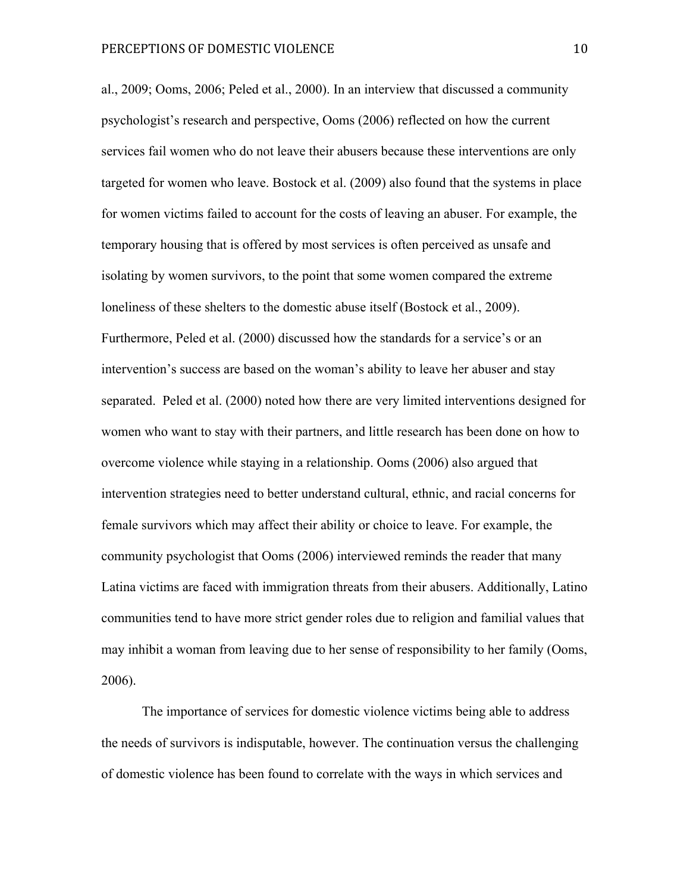al., 2009; Ooms, 2006; Peled et al., 2000). In an interview that discussed a community psychologist's research and perspective, Ooms (2006) reflected on how the current services fail women who do not leave their abusers because these interventions are only targeted for women who leave. Bostock et al. (2009) also found that the systems in place for women victims failed to account for the costs of leaving an abuser. For example, the temporary housing that is offered by most services is often perceived as unsafe and isolating by women survivors, to the point that some women compared the extreme loneliness of these shelters to the domestic abuse itself (Bostock et al., 2009). Furthermore, Peled et al. (2000) discussed how the standards for a service's or an intervention's success are based on the woman's ability to leave her abuser and stay separated. Peled et al. (2000) noted how there are very limited interventions designed for women who want to stay with their partners, and little research has been done on how to overcome violence while staying in a relationship. Ooms (2006) also argued that intervention strategies need to better understand cultural, ethnic, and racial concerns for female survivors which may affect their ability or choice to leave. For example, the community psychologist that Ooms (2006) interviewed reminds the reader that many Latina victims are faced with immigration threats from their abusers. Additionally, Latino communities tend to have more strict gender roles due to religion and familial values that may inhibit a woman from leaving due to her sense of responsibility to her family (Ooms, 2006).

The importance of services for domestic violence victims being able to address the needs of survivors is indisputable, however. The continuation versus the challenging of domestic violence has been found to correlate with the ways in which services and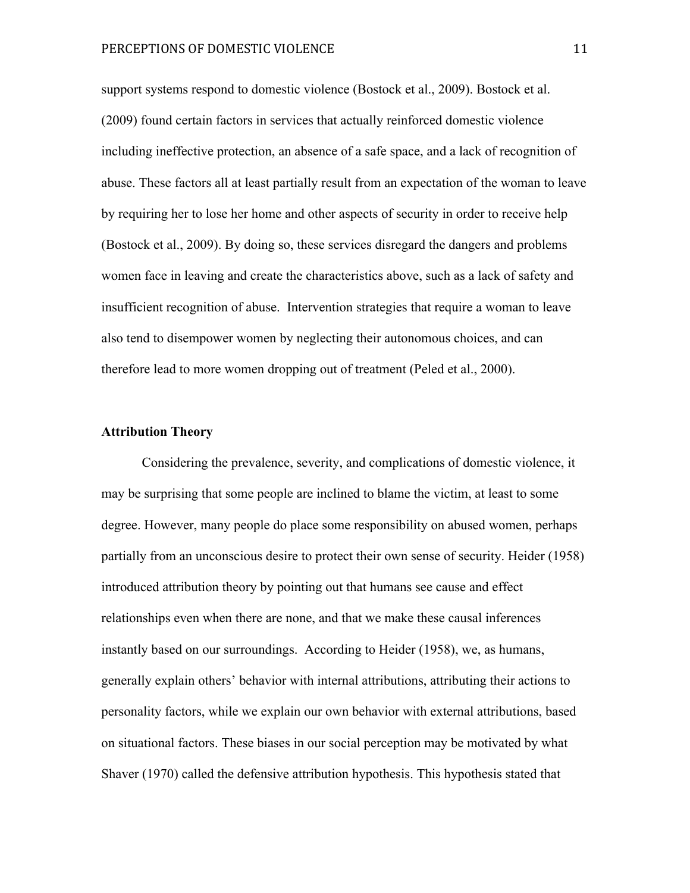support systems respond to domestic violence (Bostock et al., 2009). Bostock et al. (2009) found certain factors in services that actually reinforced domestic violence including ineffective protection, an absence of a safe space, and a lack of recognition of abuse. These factors all at least partially result from an expectation of the woman to leave by requiring her to lose her home and other aspects of security in order to receive help (Bostock et al., 2009). By doing so, these services disregard the dangers and problems women face in leaving and create the characteristics above, such as a lack of safety and insufficient recognition of abuse. Intervention strategies that require a woman to leave also tend to disempower women by neglecting their autonomous choices, and can therefore lead to more women dropping out of treatment (Peled et al., 2000).

#### **Attribution Theory**

Considering the prevalence, severity, and complications of domestic violence, it may be surprising that some people are inclined to blame the victim, at least to some degree. However, many people do place some responsibility on abused women, perhaps partially from an unconscious desire to protect their own sense of security. Heider (1958) introduced attribution theory by pointing out that humans see cause and effect relationships even when there are none, and that we make these causal inferences instantly based on our surroundings. According to Heider (1958), we, as humans, generally explain others' behavior with internal attributions, attributing their actions to personality factors, while we explain our own behavior with external attributions, based on situational factors. These biases in our social perception may be motivated by what Shaver (1970) called the defensive attribution hypothesis. This hypothesis stated that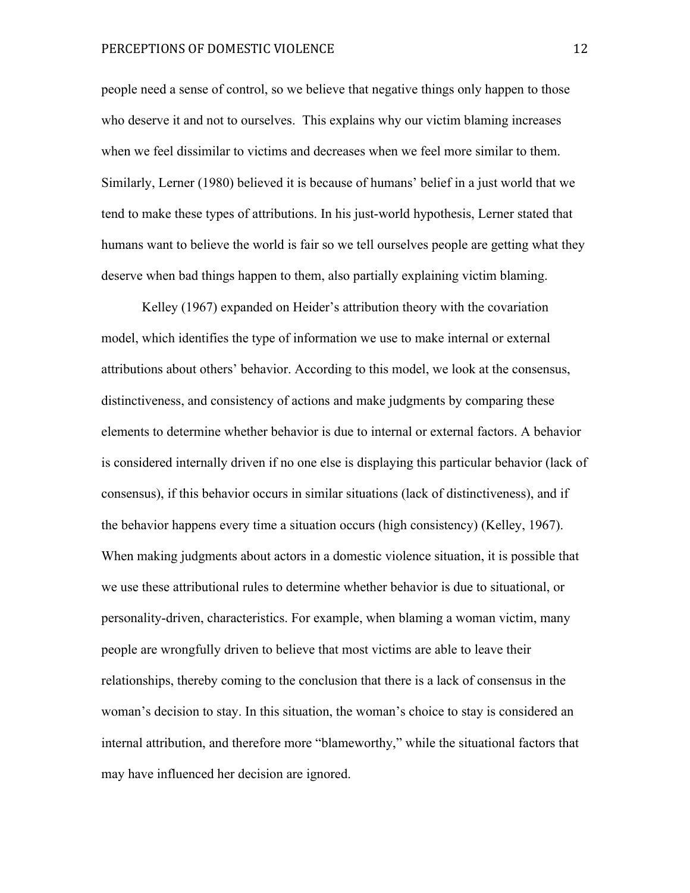people need a sense of control, so we believe that negative things only happen to those who deserve it and not to ourselves. This explains why our victim blaming increases when we feel dissimilar to victims and decreases when we feel more similar to them. Similarly, Lerner (1980) believed it is because of humans' belief in a just world that we tend to make these types of attributions. In his just-world hypothesis, Lerner stated that humans want to believe the world is fair so we tell ourselves people are getting what they deserve when bad things happen to them, also partially explaining victim blaming.

Kelley (1967) expanded on Heider's attribution theory with the covariation model, which identifies the type of information we use to make internal or external attributions about others' behavior. According to this model, we look at the consensus, distinctiveness, and consistency of actions and make judgments by comparing these elements to determine whether behavior is due to internal or external factors. A behavior is considered internally driven if no one else is displaying this particular behavior (lack of consensus), if this behavior occurs in similar situations (lack of distinctiveness), and if the behavior happens every time a situation occurs (high consistency) (Kelley, 1967). When making judgments about actors in a domestic violence situation, it is possible that we use these attributional rules to determine whether behavior is due to situational, or personality-driven, characteristics. For example, when blaming a woman victim, many people are wrongfully driven to believe that most victims are able to leave their relationships, thereby coming to the conclusion that there is a lack of consensus in the woman's decision to stay. In this situation, the woman's choice to stay is considered an internal attribution, and therefore more "blameworthy," while the situational factors that may have influenced her decision are ignored.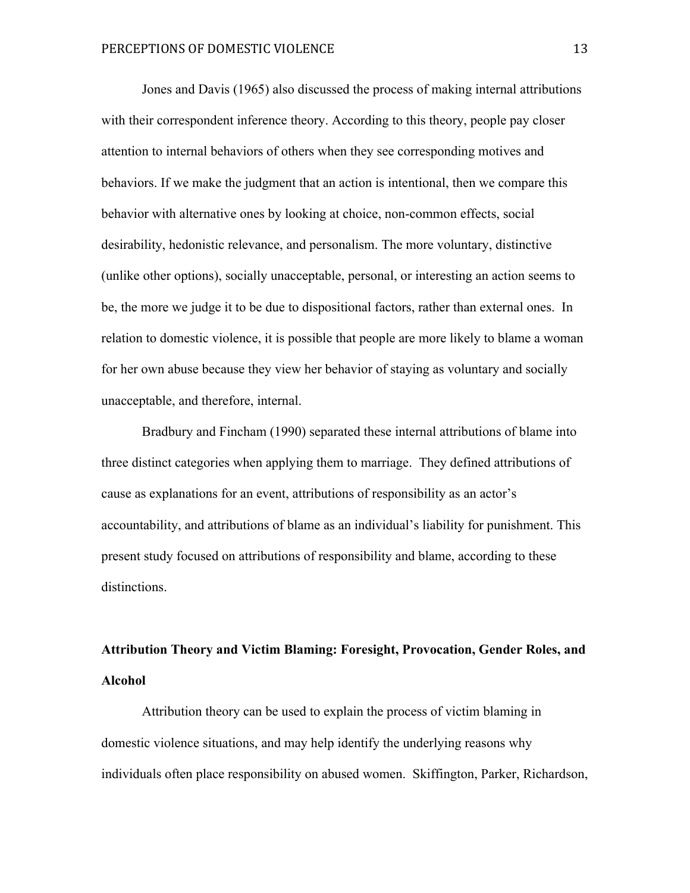Jones and Davis (1965) also discussed the process of making internal attributions with their correspondent inference theory. According to this theory, people pay closer attention to internal behaviors of others when they see corresponding motives and behaviors. If we make the judgment that an action is intentional, then we compare this behavior with alternative ones by looking at choice, non-common effects, social desirability, hedonistic relevance, and personalism. The more voluntary, distinctive (unlike other options), socially unacceptable, personal, or interesting an action seems to be, the more we judge it to be due to dispositional factors, rather than external ones. In relation to domestic violence, it is possible that people are more likely to blame a woman for her own abuse because they view her behavior of staying as voluntary and socially unacceptable, and therefore, internal.

Bradbury and Fincham (1990) separated these internal attributions of blame into three distinct categories when applying them to marriage. They defined attributions of cause as explanations for an event, attributions of responsibility as an actor's accountability, and attributions of blame as an individual's liability for punishment. This present study focused on attributions of responsibility and blame, according to these distinctions.

## **Attribution Theory and Victim Blaming: Foresight, Provocation, Gender Roles, and Alcohol**

Attribution theory can be used to explain the process of victim blaming in domestic violence situations, and may help identify the underlying reasons why individuals often place responsibility on abused women. Skiffington, Parker, Richardson,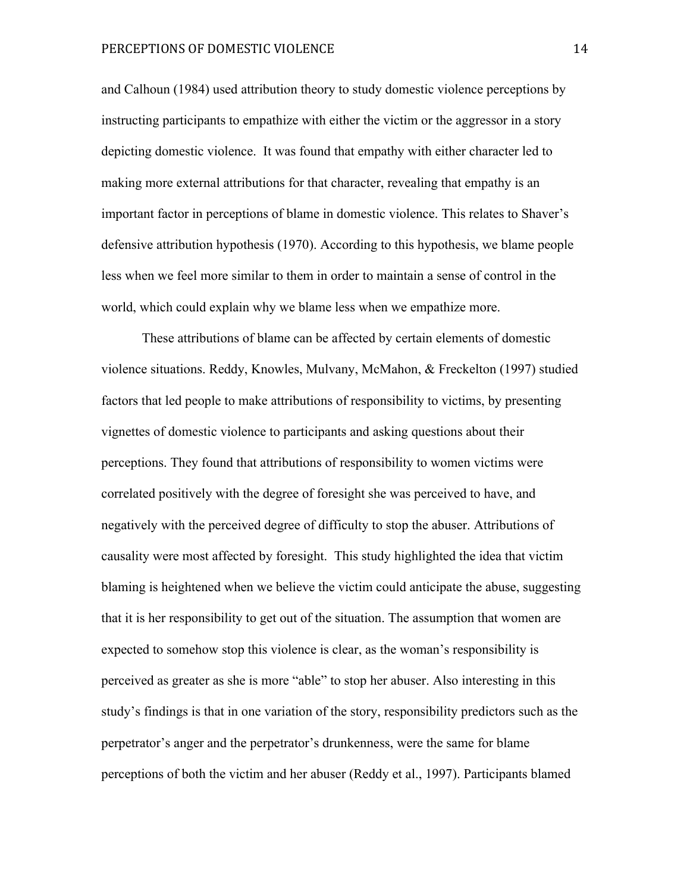and Calhoun (1984) used attribution theory to study domestic violence perceptions by instructing participants to empathize with either the victim or the aggressor in a story depicting domestic violence. It was found that empathy with either character led to making more external attributions for that character, revealing that empathy is an important factor in perceptions of blame in domestic violence. This relates to Shaver's defensive attribution hypothesis (1970). According to this hypothesis, we blame people less when we feel more similar to them in order to maintain a sense of control in the world, which could explain why we blame less when we empathize more.

These attributions of blame can be affected by certain elements of domestic violence situations. Reddy, Knowles, Mulvany, McMahon, & Freckelton (1997) studied factors that led people to make attributions of responsibility to victims, by presenting vignettes of domestic violence to participants and asking questions about their perceptions. They found that attributions of responsibility to women victims were correlated positively with the degree of foresight she was perceived to have, and negatively with the perceived degree of difficulty to stop the abuser. Attributions of causality were most affected by foresight. This study highlighted the idea that victim blaming is heightened when we believe the victim could anticipate the abuse, suggesting that it is her responsibility to get out of the situation. The assumption that women are expected to somehow stop this violence is clear, as the woman's responsibility is perceived as greater as she is more "able" to stop her abuser. Also interesting in this study's findings is that in one variation of the story, responsibility predictors such as the perpetrator's anger and the perpetrator's drunkenness, were the same for blame perceptions of both the victim and her abuser (Reddy et al., 1997). Participants blamed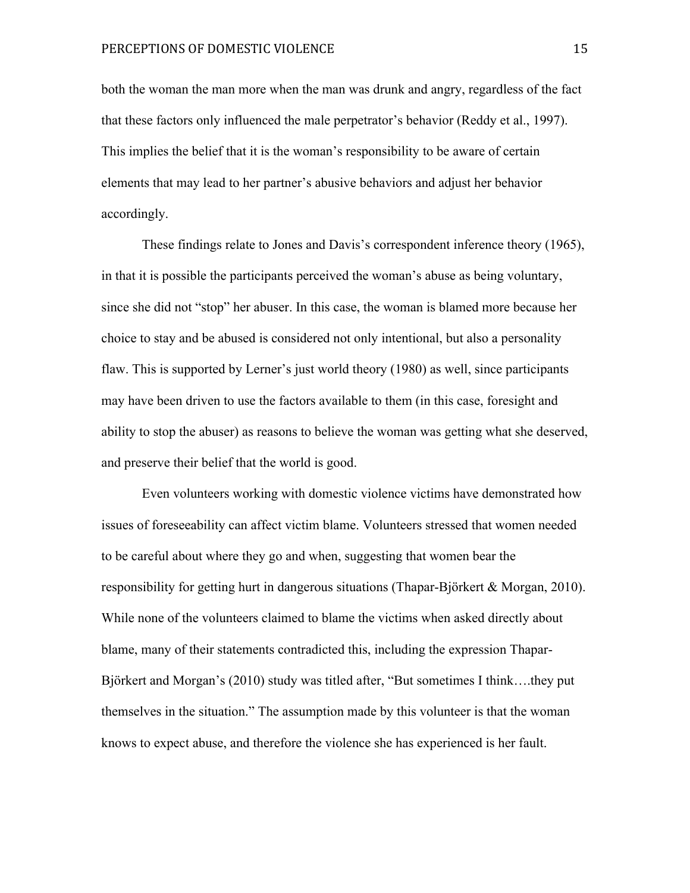both the woman the man more when the man was drunk and angry, regardless of the fact that these factors only influenced the male perpetrator's behavior (Reddy et al., 1997). This implies the belief that it is the woman's responsibility to be aware of certain elements that may lead to her partner's abusive behaviors and adjust her behavior accordingly.

These findings relate to Jones and Davis's correspondent inference theory (1965), in that it is possible the participants perceived the woman's abuse as being voluntary, since she did not "stop" her abuser. In this case, the woman is blamed more because her choice to stay and be abused is considered not only intentional, but also a personality flaw. This is supported by Lerner's just world theory (1980) as well, since participants may have been driven to use the factors available to them (in this case, foresight and ability to stop the abuser) as reasons to believe the woman was getting what she deserved, and preserve their belief that the world is good.

Even volunteers working with domestic violence victims have demonstrated how issues of foreseeability can affect victim blame. Volunteers stressed that women needed to be careful about where they go and when, suggesting that women bear the responsibility for getting hurt in dangerous situations (Thapar-Björkert & Morgan, 2010). While none of the volunteers claimed to blame the victims when asked directly about blame, many of their statements contradicted this, including the expression Thapar-Björkert and Morgan's (2010) study was titled after, "But sometimes I think….they put themselves in the situation." The assumption made by this volunteer is that the woman knows to expect abuse, and therefore the violence she has experienced is her fault.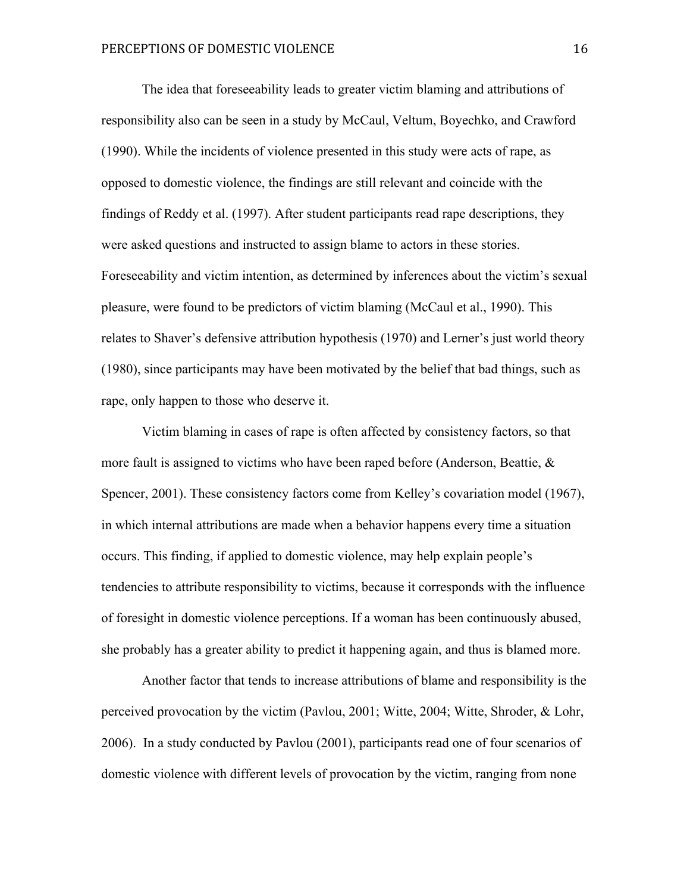The idea that foreseeability leads to greater victim blaming and attributions of responsibility also can be seen in a study by McCaul, Veltum, Boyechko, and Crawford (1990). While the incidents of violence presented in this study were acts of rape, as opposed to domestic violence, the findings are still relevant and coincide with the findings of Reddy et al. (1997). After student participants read rape descriptions, they were asked questions and instructed to assign blame to actors in these stories. Foreseeability and victim intention, as determined by inferences about the victim's sexual pleasure, were found to be predictors of victim blaming (McCaul et al., 1990). This relates to Shaver's defensive attribution hypothesis (1970) and Lerner's just world theory (1980), since participants may have been motivated by the belief that bad things, such as rape, only happen to those who deserve it.

Victim blaming in cases of rape is often affected by consistency factors, so that more fault is assigned to victims who have been raped before (Anderson, Beattie, & Spencer, 2001). These consistency factors come from Kelley's covariation model (1967), in which internal attributions are made when a behavior happens every time a situation occurs. This finding, if applied to domestic violence, may help explain people's tendencies to attribute responsibility to victims, because it corresponds with the influence of foresight in domestic violence perceptions. If a woman has been continuously abused, she probably has a greater ability to predict it happening again, and thus is blamed more.

Another factor that tends to increase attributions of blame and responsibility is the perceived provocation by the victim (Pavlou, 2001; Witte, 2004; Witte, Shroder, & Lohr, 2006). In a study conducted by Pavlou (2001), participants read one of four scenarios of domestic violence with different levels of provocation by the victim, ranging from none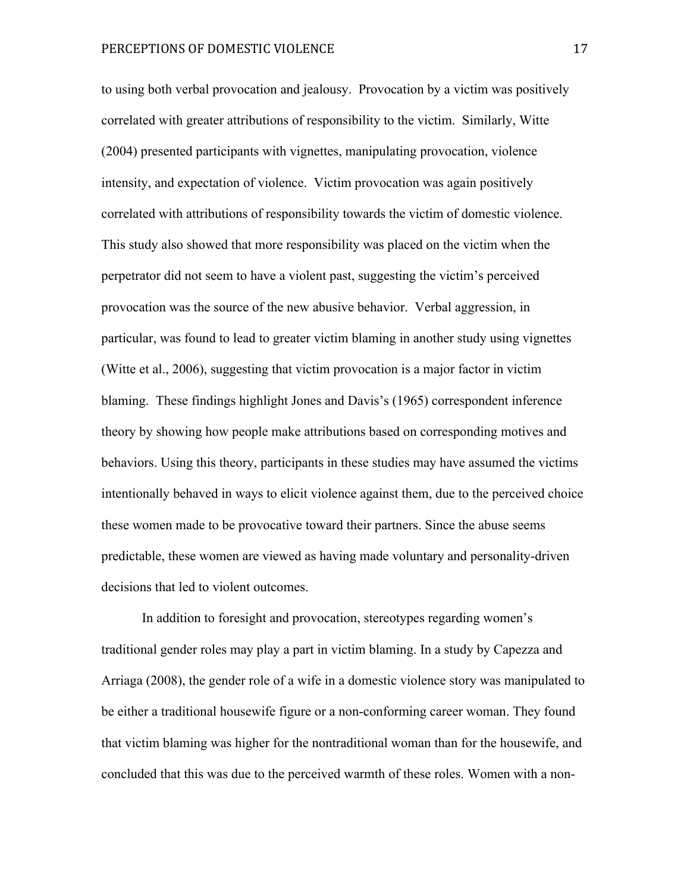to using both verbal provocation and jealousy. Provocation by a victim was positively correlated with greater attributions of responsibility to the victim. Similarly, Witte (2004) presented participants with vignettes, manipulating provocation, violence intensity, and expectation of violence. Victim provocation was again positively correlated with attributions of responsibility towards the victim of domestic violence. This study also showed that more responsibility was placed on the victim when the perpetrator did not seem to have a violent past, suggesting the victim's perceived provocation was the source of the new abusive behavior. Verbal aggression, in particular, was found to lead to greater victim blaming in another study using vignettes (Witte et al., 2006), suggesting that victim provocation is a major factor in victim blaming. These findings highlight Jones and Davis's (1965) correspondent inference theory by showing how people make attributions based on corresponding motives and behaviors. Using this theory, participants in these studies may have assumed the victims intentionally behaved in ways to elicit violence against them, due to the perceived choice these women made to be provocative toward their partners. Since the abuse seems predictable, these women are viewed as having made voluntary and personality-driven decisions that led to violent outcomes.

In addition to foresight and provocation, stereotypes regarding women's traditional gender roles may play a part in victim blaming. In a study by Capezza and Arriaga (2008), the gender role of a wife in a domestic violence story was manipulated to be either a traditional housewife figure or a non-conforming career woman. They found that victim blaming was higher for the nontraditional woman than for the housewife, and concluded that this was due to the perceived warmth of these roles. Women with a non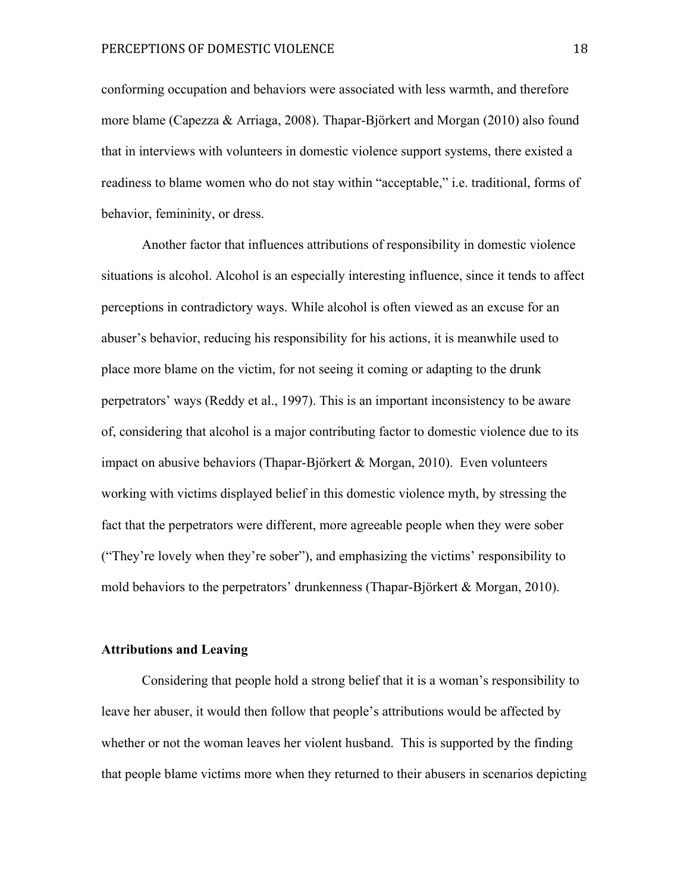conforming occupation and behaviors were associated with less warmth, and therefore more blame (Capezza & Arriaga, 2008). Thapar-Björkert and Morgan (2010) also found that in interviews with volunteers in domestic violence support systems, there existed a readiness to blame women who do not stay within "acceptable," i.e. traditional, forms of behavior, femininity, or dress.

Another factor that influences attributions of responsibility in domestic violence situations is alcohol. Alcohol is an especially interesting influence, since it tends to affect perceptions in contradictory ways. While alcohol is often viewed as an excuse for an abuser's behavior, reducing his responsibility for his actions, it is meanwhile used to place more blame on the victim, for not seeing it coming or adapting to the drunk perpetrators' ways (Reddy et al., 1997). This is an important inconsistency to be aware of, considering that alcohol is a major contributing factor to domestic violence due to its impact on abusive behaviors (Thapar-Björkert & Morgan, 2010). Even volunteers working with victims displayed belief in this domestic violence myth, by stressing the fact that the perpetrators were different, more agreeable people when they were sober ("They're lovely when they're sober"), and emphasizing the victims' responsibility to mold behaviors to the perpetrators' drunkenness (Thapar-Björkert & Morgan, 2010).

#### **Attributions and Leaving**

Considering that people hold a strong belief that it is a woman's responsibility to leave her abuser, it would then follow that people's attributions would be affected by whether or not the woman leaves her violent husband. This is supported by the finding that people blame victims more when they returned to their abusers in scenarios depicting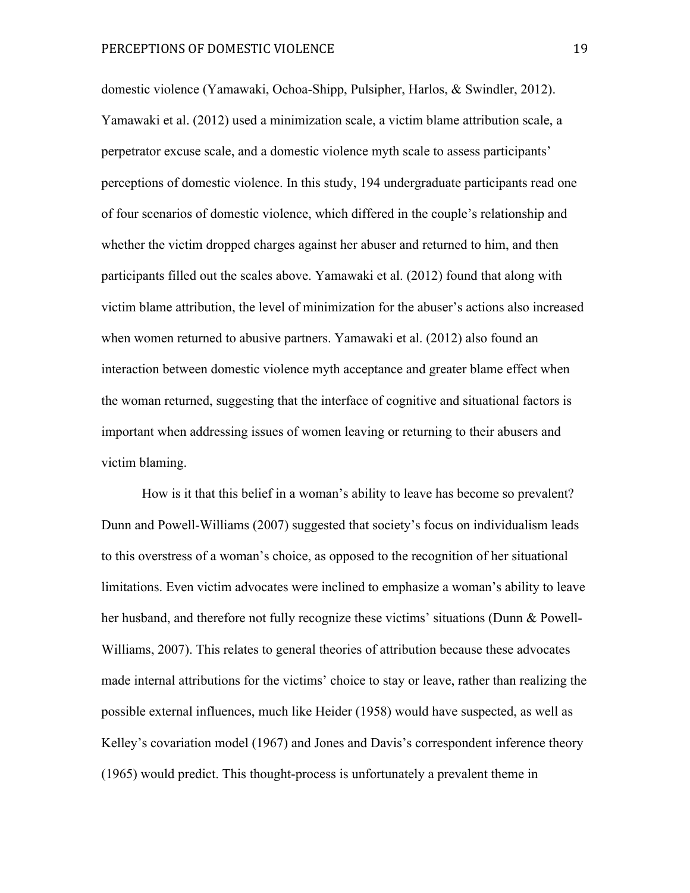domestic violence (Yamawaki, Ochoa-Shipp, Pulsipher, Harlos, & Swindler, 2012). Yamawaki et al. (2012) used a minimization scale, a victim blame attribution scale, a perpetrator excuse scale, and a domestic violence myth scale to assess participants' perceptions of domestic violence. In this study, 194 undergraduate participants read one of four scenarios of domestic violence, which differed in the couple's relationship and whether the victim dropped charges against her abuser and returned to him, and then participants filled out the scales above. Yamawaki et al. (2012) found that along with victim blame attribution, the level of minimization for the abuser's actions also increased when women returned to abusive partners. Yamawaki et al. (2012) also found an interaction between domestic violence myth acceptance and greater blame effect when the woman returned, suggesting that the interface of cognitive and situational factors is important when addressing issues of women leaving or returning to their abusers and victim blaming.

How is it that this belief in a woman's ability to leave has become so prevalent? Dunn and Powell-Williams (2007) suggested that society's focus on individualism leads to this overstress of a woman's choice, as opposed to the recognition of her situational limitations. Even victim advocates were inclined to emphasize a woman's ability to leave her husband, and therefore not fully recognize these victims' situations (Dunn & Powell-Williams, 2007). This relates to general theories of attribution because these advocates made internal attributions for the victims' choice to stay or leave, rather than realizing the possible external influences, much like Heider (1958) would have suspected, as well as Kelley's covariation model (1967) and Jones and Davis's correspondent inference theory (1965) would predict. This thought-process is unfortunately a prevalent theme in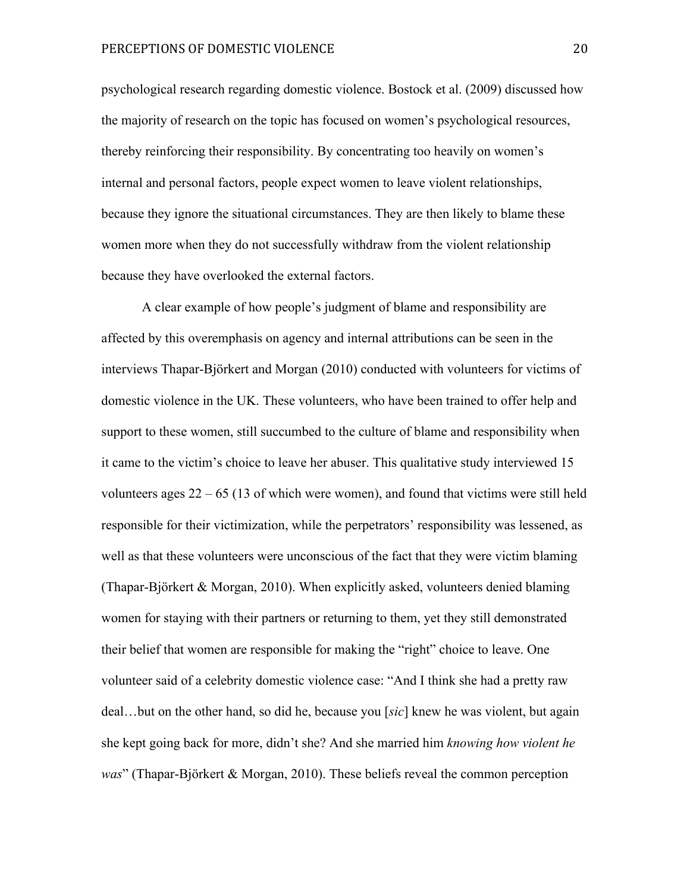psychological research regarding domestic violence. Bostock et al. (2009) discussed how the majority of research on the topic has focused on women's psychological resources, thereby reinforcing their responsibility. By concentrating too heavily on women's internal and personal factors, people expect women to leave violent relationships, because they ignore the situational circumstances. They are then likely to blame these women more when they do not successfully withdraw from the violent relationship because they have overlooked the external factors.

A clear example of how people's judgment of blame and responsibility are affected by this overemphasis on agency and internal attributions can be seen in the interviews Thapar-Björkert and Morgan (2010) conducted with volunteers for victims of domestic violence in the UK. These volunteers, who have been trained to offer help and support to these women, still succumbed to the culture of blame and responsibility when it came to the victim's choice to leave her abuser. This qualitative study interviewed 15 volunteers ages 22 – 65 (13 of which were women), and found that victims were still held responsible for their victimization, while the perpetrators' responsibility was lessened, as well as that these volunteers were unconscious of the fact that they were victim blaming (Thapar-Björkert & Morgan, 2010). When explicitly asked, volunteers denied blaming women for staying with their partners or returning to them, yet they still demonstrated their belief that women are responsible for making the "right" choice to leave. One volunteer said of a celebrity domestic violence case: "And I think she had a pretty raw deal…but on the other hand, so did he, because you [*sic*] knew he was violent, but again she kept going back for more, didn't she? And she married him *knowing how violent he was*" (Thapar-Björkert & Morgan, 2010). These beliefs reveal the common perception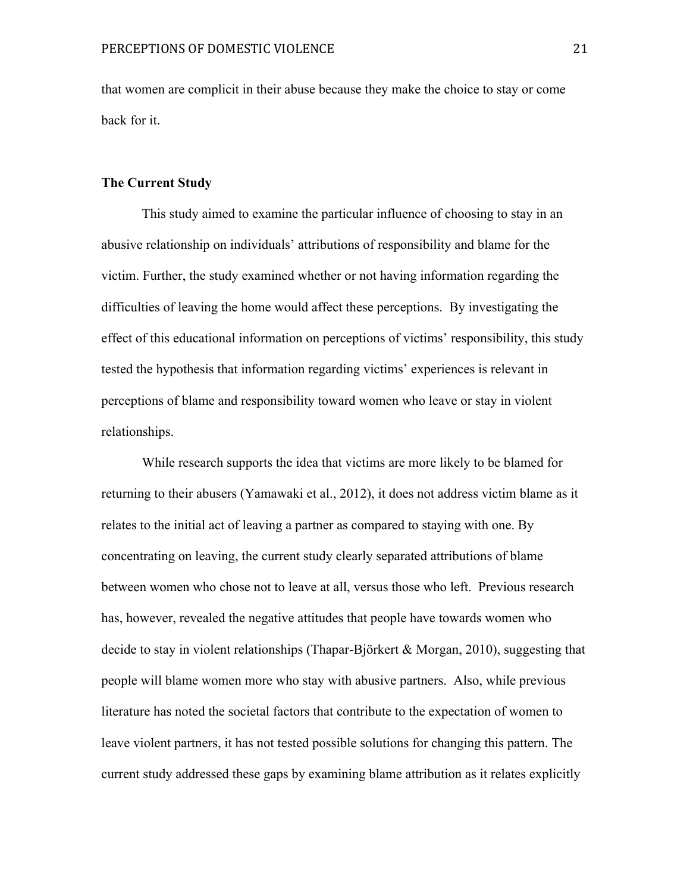that women are complicit in their abuse because they make the choice to stay or come back for it.

#### **The Current Study**

This study aimed to examine the particular influence of choosing to stay in an abusive relationship on individuals' attributions of responsibility and blame for the victim. Further, the study examined whether or not having information regarding the difficulties of leaving the home would affect these perceptions. By investigating the effect of this educational information on perceptions of victims' responsibility, this study tested the hypothesis that information regarding victims' experiences is relevant in perceptions of blame and responsibility toward women who leave or stay in violent relationships.

While research supports the idea that victims are more likely to be blamed for returning to their abusers (Yamawaki et al., 2012), it does not address victim blame as it relates to the initial act of leaving a partner as compared to staying with one. By concentrating on leaving, the current study clearly separated attributions of blame between women who chose not to leave at all, versus those who left. Previous research has, however, revealed the negative attitudes that people have towards women who decide to stay in violent relationships (Thapar-Björkert & Morgan, 2010), suggesting that people will blame women more who stay with abusive partners. Also, while previous literature has noted the societal factors that contribute to the expectation of women to leave violent partners, it has not tested possible solutions for changing this pattern. The current study addressed these gaps by examining blame attribution as it relates explicitly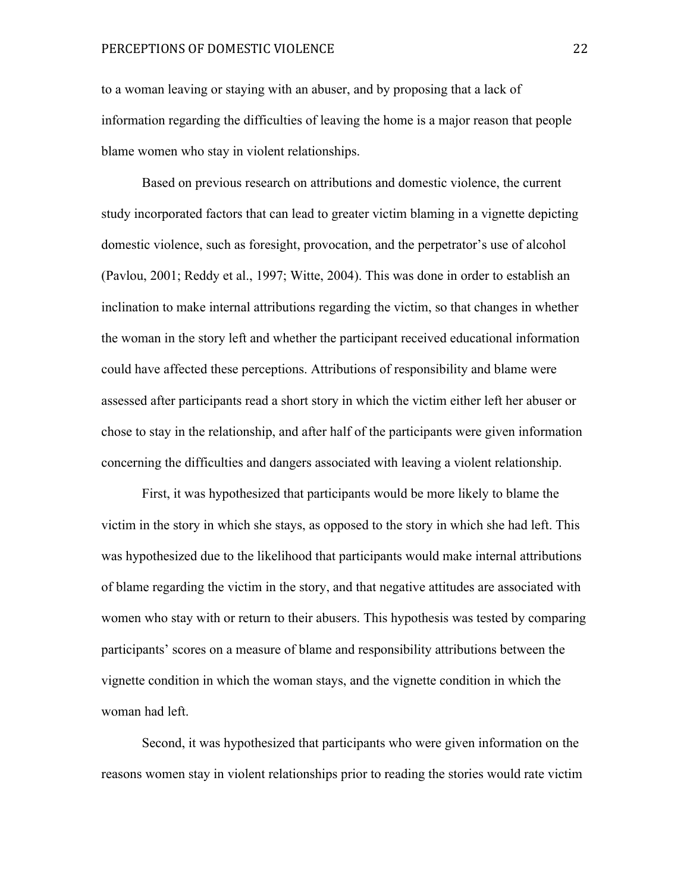to a woman leaving or staying with an abuser, and by proposing that a lack of information regarding the difficulties of leaving the home is a major reason that people blame women who stay in violent relationships.

Based on previous research on attributions and domestic violence, the current study incorporated factors that can lead to greater victim blaming in a vignette depicting domestic violence, such as foresight, provocation, and the perpetrator's use of alcohol (Pavlou, 2001; Reddy et al., 1997; Witte, 2004). This was done in order to establish an inclination to make internal attributions regarding the victim, so that changes in whether the woman in the story left and whether the participant received educational information could have affected these perceptions. Attributions of responsibility and blame were assessed after participants read a short story in which the victim either left her abuser or chose to stay in the relationship, and after half of the participants were given information concerning the difficulties and dangers associated with leaving a violent relationship.

First, it was hypothesized that participants would be more likely to blame the victim in the story in which she stays, as opposed to the story in which she had left. This was hypothesized due to the likelihood that participants would make internal attributions of blame regarding the victim in the story, and that negative attitudes are associated with women who stay with or return to their abusers. This hypothesis was tested by comparing participants' scores on a measure of blame and responsibility attributions between the vignette condition in which the woman stays, and the vignette condition in which the woman had left.

Second, it was hypothesized that participants who were given information on the reasons women stay in violent relationships prior to reading the stories would rate victim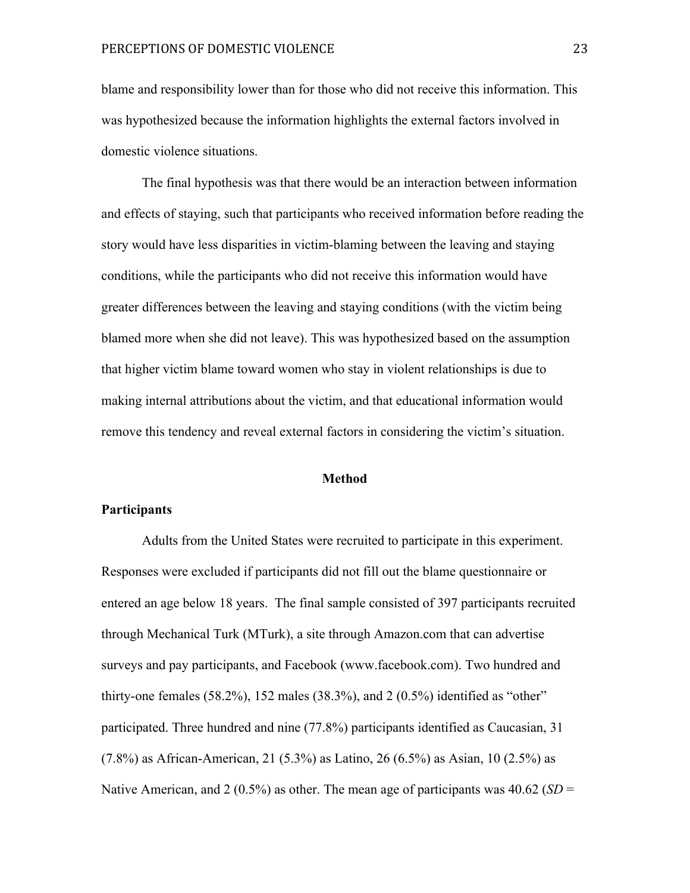blame and responsibility lower than for those who did not receive this information. This was hypothesized because the information highlights the external factors involved in domestic violence situations.

The final hypothesis was that there would be an interaction between information and effects of staying, such that participants who received information before reading the story would have less disparities in victim-blaming between the leaving and staying conditions, while the participants who did not receive this information would have greater differences between the leaving and staying conditions (with the victim being blamed more when she did not leave). This was hypothesized based on the assumption that higher victim blame toward women who stay in violent relationships is due to making internal attributions about the victim, and that educational information would remove this tendency and reveal external factors in considering the victim's situation.

#### **Method**

#### **Participants**

Adults from the United States were recruited to participate in this experiment. Responses were excluded if participants did not fill out the blame questionnaire or entered an age below 18 years. The final sample consisted of 397 participants recruited through Mechanical Turk (MTurk), a site through Amazon.com that can advertise surveys and pay participants, and Facebook (www.facebook.com). Two hundred and thirty-one females  $(58.2\%)$ , 152 males  $(38.3\%)$ , and  $2(0.5\%)$  identified as "other" participated. Three hundred and nine (77.8%) participants identified as Caucasian, 31 (7.8%) as African-American, 21 (5.3%) as Latino, 26 (6.5%) as Asian, 10 (2.5%) as Native American, and 2 (0.5%) as other. The mean age of participants was 40.62 (*SD* =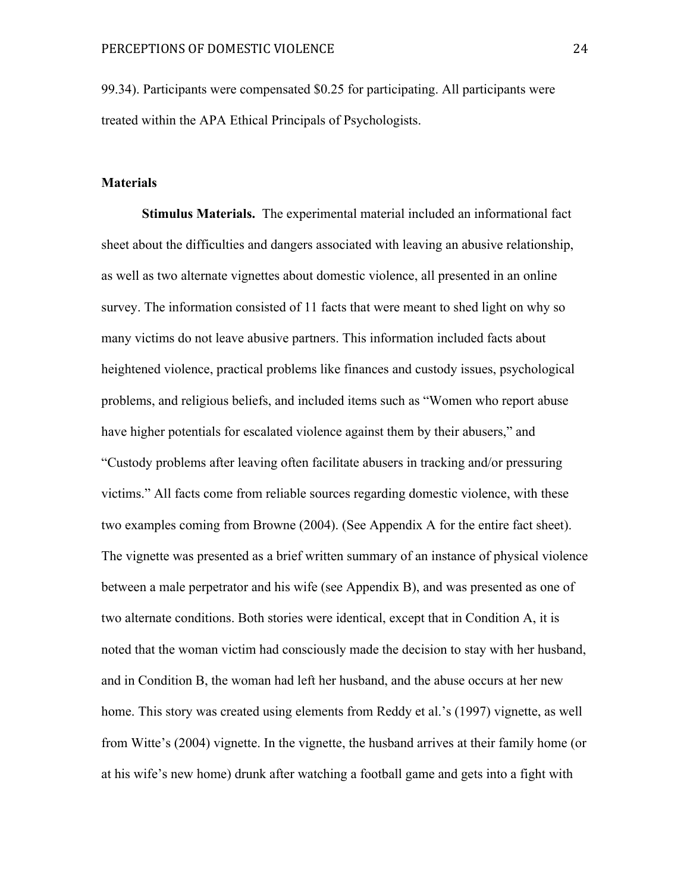99.34). Participants were compensated \$0.25 for participating. All participants were treated within the APA Ethical Principals of Psychologists.

#### **Materials**

**Stimulus Materials.** The experimental material included an informational fact sheet about the difficulties and dangers associated with leaving an abusive relationship, as well as two alternate vignettes about domestic violence, all presented in an online survey. The information consisted of 11 facts that were meant to shed light on why so many victims do not leave abusive partners. This information included facts about heightened violence, practical problems like finances and custody issues, psychological problems, and religious beliefs, and included items such as "Women who report abuse have higher potentials for escalated violence against them by their abusers," and "Custody problems after leaving often facilitate abusers in tracking and/or pressuring victims." All facts come from reliable sources regarding domestic violence, with these two examples coming from Browne (2004). (See Appendix A for the entire fact sheet). The vignette was presented as a brief written summary of an instance of physical violence between a male perpetrator and his wife (see Appendix B), and was presented as one of two alternate conditions. Both stories were identical, except that in Condition A, it is noted that the woman victim had consciously made the decision to stay with her husband, and in Condition B, the woman had left her husband, and the abuse occurs at her new home. This story was created using elements from Reddy et al.'s (1997) vignette, as well from Witte's (2004) vignette. In the vignette, the husband arrives at their family home (or at his wife's new home) drunk after watching a football game and gets into a fight with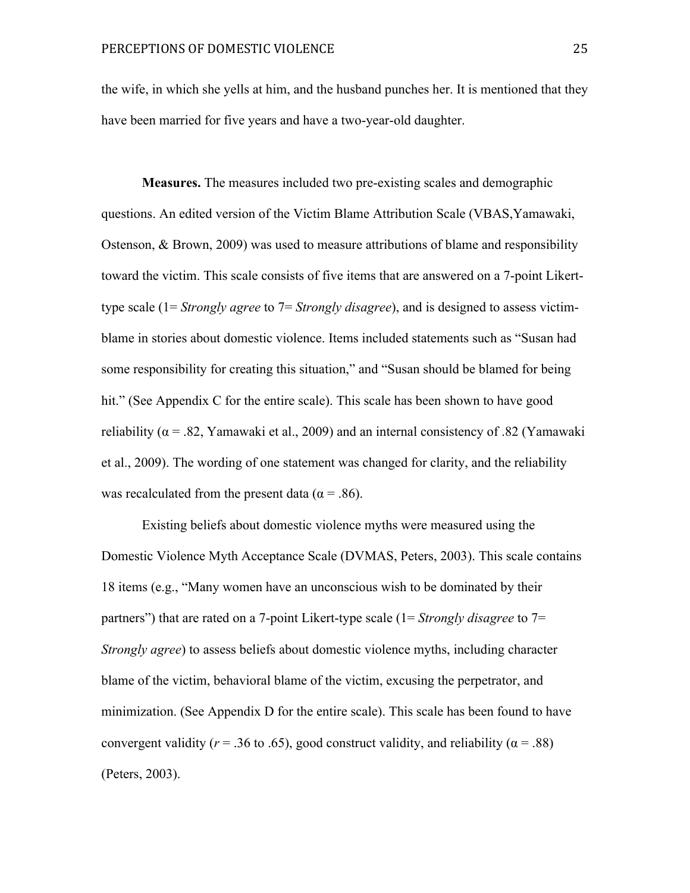the wife, in which she yells at him, and the husband punches her. It is mentioned that they have been married for five years and have a two-year-old daughter.

**Measures.** The measures included two pre-existing scales and demographic questions. An edited version of the Victim Blame Attribution Scale (VBAS,Yamawaki, Ostenson, & Brown, 2009) was used to measure attributions of blame and responsibility toward the victim. This scale consists of five items that are answered on a 7-point Likerttype scale (1= *Strongly agree* to 7= *Strongly disagree*), and is designed to assess victimblame in stories about domestic violence. Items included statements such as "Susan had some responsibility for creating this situation," and "Susan should be blamed for being hit." (See Appendix C for the entire scale). This scale has been shown to have good reliability ( $\alpha$  = .82, Yamawaki et al., 2009) and an internal consistency of .82 (Yamawaki et al., 2009). The wording of one statement was changed for clarity, and the reliability was recalculated from the present data ( $\alpha$  = .86).

Existing beliefs about domestic violence myths were measured using the Domestic Violence Myth Acceptance Scale (DVMAS, Peters, 2003). This scale contains 18 items (e.g., "Many women have an unconscious wish to be dominated by their partners") that are rated on a 7-point Likert-type scale (1= *Strongly disagree* to 7= *Strongly agree*) to assess beliefs about domestic violence myths, including character blame of the victim, behavioral blame of the victim, excusing the perpetrator, and minimization. (See Appendix D for the entire scale). This scale has been found to have convergent validity ( $r = .36$  to .65), good construct validity, and reliability ( $\alpha = .88$ ) (Peters, 2003).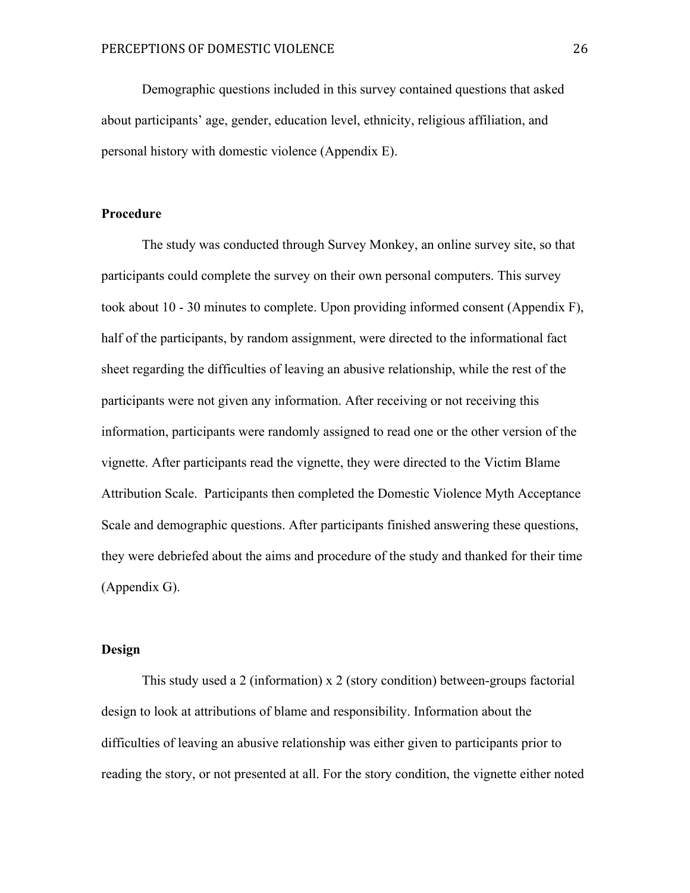Demographic questions included in this survey contained questions that asked about participants' age, gender, education level, ethnicity, religious affiliation, and personal history with domestic violence (Appendix E).

#### **Procedure**

The study was conducted through Survey Monkey, an online survey site, so that participants could complete the survey on their own personal computers. This survey took about 10 - 30 minutes to complete. Upon providing informed consent (Appendix F), half of the participants, by random assignment, were directed to the informational fact sheet regarding the difficulties of leaving an abusive relationship, while the rest of the participants were not given any information. After receiving or not receiving this information, participants were randomly assigned to read one or the other version of the vignette. After participants read the vignette, they were directed to the Victim Blame Attribution Scale. Participants then completed the Domestic Violence Myth Acceptance Scale and demographic questions. After participants finished answering these questions, they were debriefed about the aims and procedure of the study and thanked for their time (Appendix G).

#### **Design**

This study used a 2 (information) x 2 (story condition) between-groups factorial design to look at attributions of blame and responsibility. Information about the difficulties of leaving an abusive relationship was either given to participants prior to reading the story, or not presented at all. For the story condition, the vignette either noted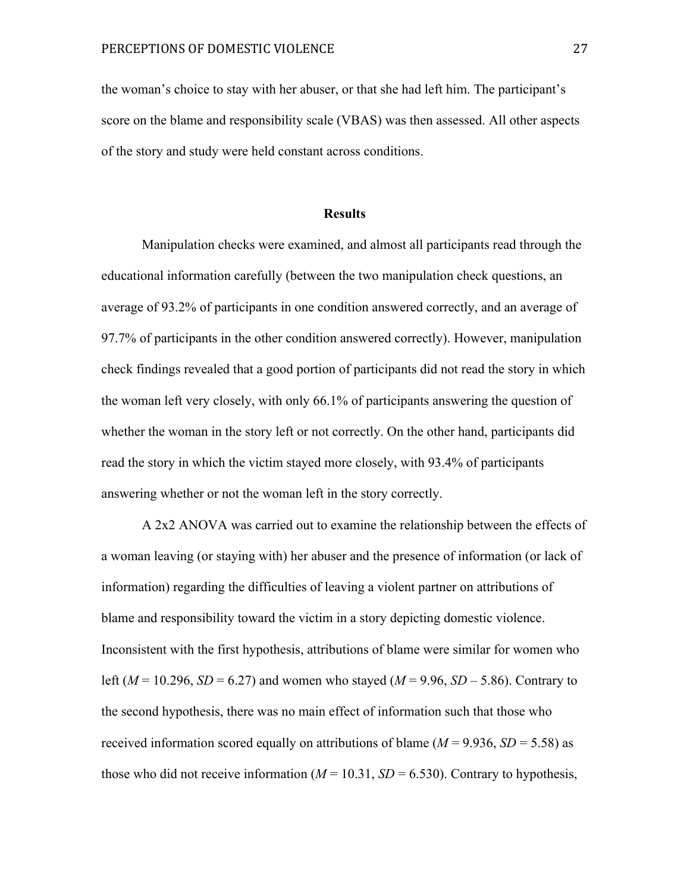the woman's choice to stay with her abuser, or that she had left him. The participant's score on the blame and responsibility scale (VBAS) was then assessed. All other aspects of the story and study were held constant across conditions.

#### **Results**

Manipulation checks were examined, and almost all participants read through the educational information carefully (between the two manipulation check questions, an average of 93.2% of participants in one condition answered correctly, and an average of 97.7% of participants in the other condition answered correctly). However, manipulation check findings revealed that a good portion of participants did not read the story in which the woman left very closely, with only 66.1% of participants answering the question of whether the woman in the story left or not correctly. On the other hand, participants did read the story in which the victim stayed more closely, with 93.4% of participants answering whether or not the woman left in the story correctly.

A 2x2 ANOVA was carried out to examine the relationship between the effects of a woman leaving (or staying with) her abuser and the presence of information (or lack of information) regarding the difficulties of leaving a violent partner on attributions of blame and responsibility toward the victim in a story depicting domestic violence. Inconsistent with the first hypothesis, attributions of blame were similar for women who left ( $M = 10.296$ ,  $SD = 6.27$ ) and women who stayed ( $M = 9.96$ ,  $SD - 5.86$ ). Contrary to the second hypothesis, there was no main effect of information such that those who received information scored equally on attributions of blame ( $M = 9.936$ ,  $SD = 5.58$ ) as those who did not receive information ( $M = 10.31$ ,  $SD = 6.530$ ). Contrary to hypothesis,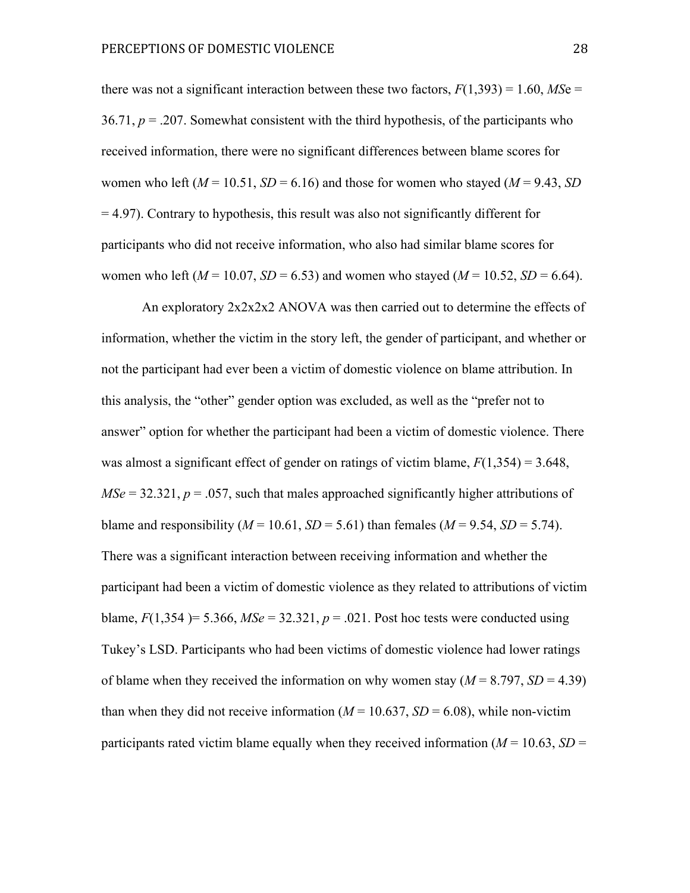there was not a significant interaction between these two factors,  $F(1,393) = 1.60$ , *MS*e = 36.71,  $p = 0.207$ . Somewhat consistent with the third hypothesis, of the participants who received information, there were no significant differences between blame scores for women who left  $(M = 10.51, SD = 6.16)$  and those for women who stayed  $(M = 9.43, SD)$ = 4.97). Contrary to hypothesis, this result was also not significantly different for participants who did not receive information, who also had similar blame scores for women who left ( $M = 10.07$ ,  $SD = 6.53$ ) and women who stayed ( $M = 10.52$ ,  $SD = 6.64$ ).

An exploratory 2x2x2x2 ANOVA was then carried out to determine the effects of information, whether the victim in the story left, the gender of participant, and whether or not the participant had ever been a victim of domestic violence on blame attribution. In this analysis, the "other" gender option was excluded, as well as the "prefer not to answer" option for whether the participant had been a victim of domestic violence. There was almost a significant effect of gender on ratings of victim blame,  $F(1,354) = 3.648$ ,  $MSe = 32.321$ ,  $p = .057$ , such that males approached significantly higher attributions of blame and responsibility ( $M = 10.61$ ,  $SD = 5.61$ ) than females ( $M = 9.54$ ,  $SD = 5.74$ ). There was a significant interaction between receiving information and whether the participant had been a victim of domestic violence as they related to attributions of victim blame,  $F(1,354) = 5.366$ ,  $MSe = 32.321$ ,  $p = .021$ . Post hoc tests were conducted using Tukey's LSD. Participants who had been victims of domestic violence had lower ratings of blame when they received the information on why women stay  $(M = 8.797, SD = 4.39)$ than when they did not receive information  $(M = 10.637, SD = 6.08)$ , while non-victim participants rated victim blame equally when they received information  $(M = 10.63, SD =$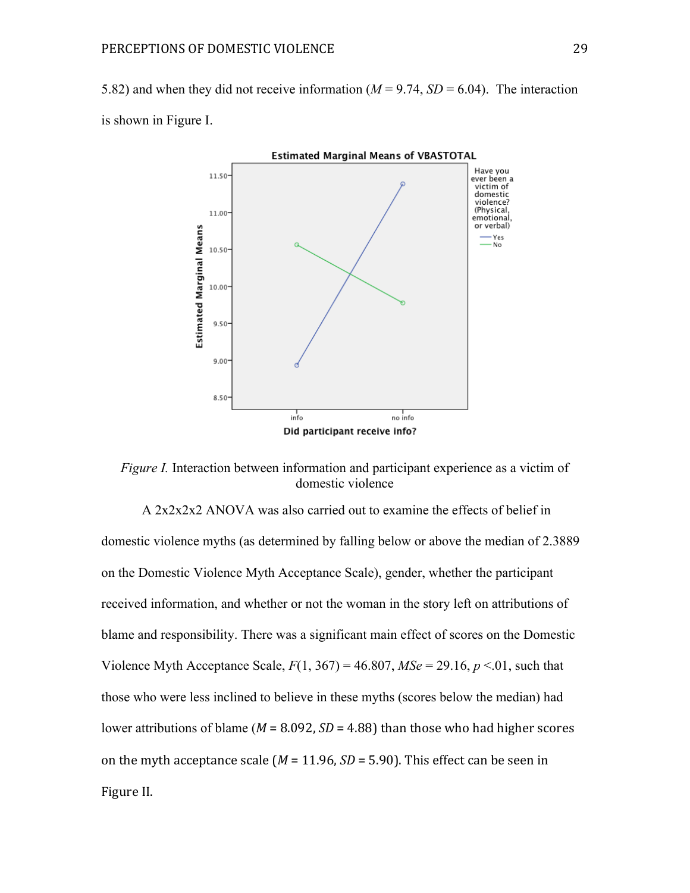5.82) and when they did not receive information  $(M = 9.74, SD = 6.04)$ . The interaction is shown in Figure I.



*Figure I.* Interaction between information and participant experience as a victim of domestic violence

A 2x2x2x2 ANOVA was also carried out to examine the effects of belief in domestic violence myths (as determined by falling below or above the median of 2.3889 on the Domestic Violence Myth Acceptance Scale), gender, whether the participant received information, and whether or not the woman in the story left on attributions of blame and responsibility. There was a significant main effect of scores on the Domestic Violence Myth Acceptance Scale,  $F(1, 367) = 46.807$ ,  $MSe = 29.16$ ,  $p < 01$ , such that those who were less inclined to believe in these myths (scores below the median) had lower attributions of blame ( $M = 8.092$ ,  $SD = 4.88$ ) than those who had higher scores on the myth acceptance scale  $(M = 11.96, SD = 5.90)$ . This effect can be seen in Figure II.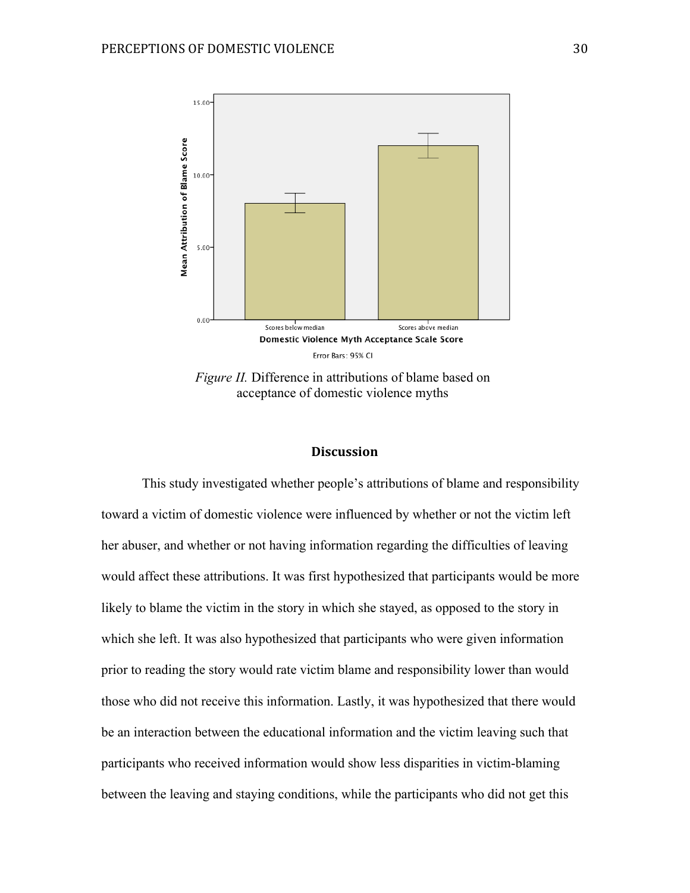

*Figure II.* Difference in attributions of blame based on acceptance of domestic violence myths

#### **Discussion**

This study investigated whether people's attributions of blame and responsibility toward a victim of domestic violence were influenced by whether or not the victim left her abuser, and whether or not having information regarding the difficulties of leaving would affect these attributions. It was first hypothesized that participants would be more likely to blame the victim in the story in which she stayed, as opposed to the story in which she left. It was also hypothesized that participants who were given information prior to reading the story would rate victim blame and responsibility lower than would those who did not receive this information. Lastly, it was hypothesized that there would be an interaction between the educational information and the victim leaving such that participants who received information would show less disparities in victim-blaming between the leaving and staying conditions, while the participants who did not get this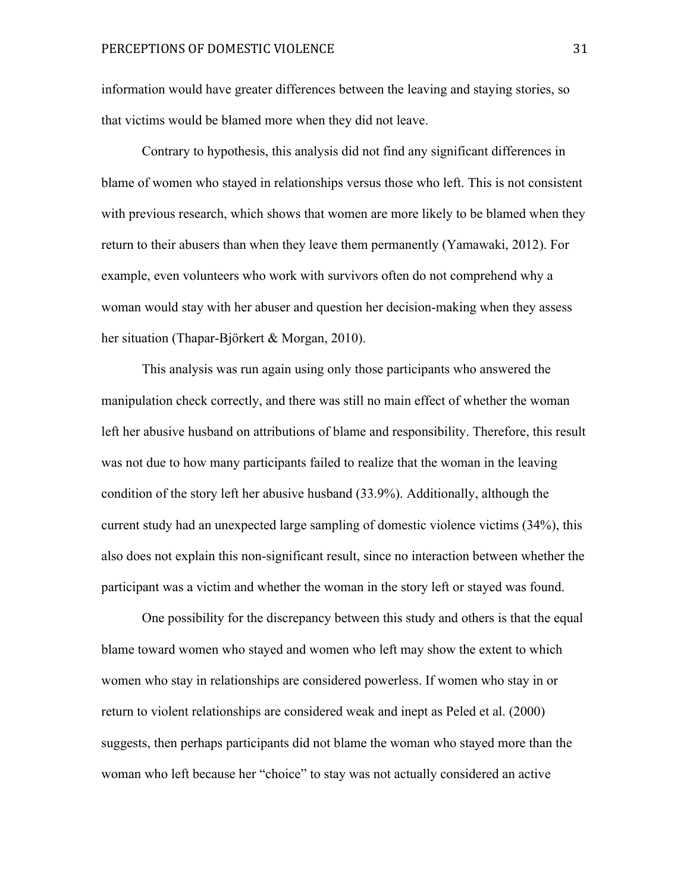information would have greater differences between the leaving and staying stories, so that victims would be blamed more when they did not leave.

Contrary to hypothesis, this analysis did not find any significant differences in blame of women who stayed in relationships versus those who left. This is not consistent with previous research, which shows that women are more likely to be blamed when they return to their abusers than when they leave them permanently (Yamawaki, 2012). For example, even volunteers who work with survivors often do not comprehend why a woman would stay with her abuser and question her decision-making when they assess her situation (Thapar-Björkert & Morgan, 2010).

This analysis was run again using only those participants who answered the manipulation check correctly, and there was still no main effect of whether the woman left her abusive husband on attributions of blame and responsibility. Therefore, this result was not due to how many participants failed to realize that the woman in the leaving condition of the story left her abusive husband (33.9%). Additionally, although the current study had an unexpected large sampling of domestic violence victims (34%), this also does not explain this non-significant result, since no interaction between whether the participant was a victim and whether the woman in the story left or stayed was found.

One possibility for the discrepancy between this study and others is that the equal blame toward women who stayed and women who left may show the extent to which women who stay in relationships are considered powerless. If women who stay in or return to violent relationships are considered weak and inept as Peled et al. (2000) suggests, then perhaps participants did not blame the woman who stayed more than the woman who left because her "choice" to stay was not actually considered an active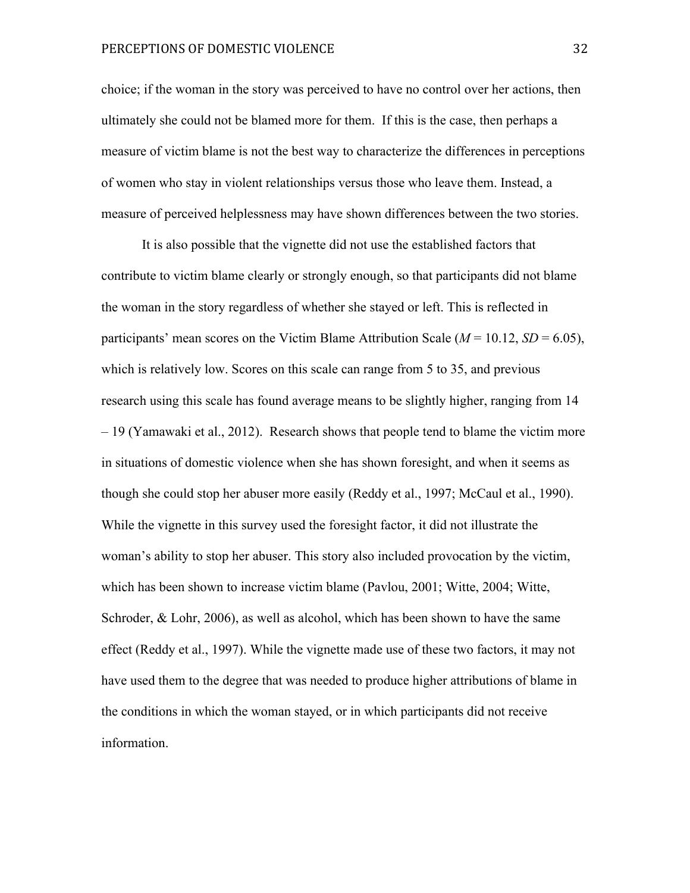#### PERCEPTIONS OF DOMESTIC VIOLENCE **SECULIARY 1999** 32

choice; if the woman in the story was perceived to have no control over her actions, then ultimately she could not be blamed more for them. If this is the case, then perhaps a measure of victim blame is not the best way to characterize the differences in perceptions of women who stay in violent relationships versus those who leave them. Instead, a measure of perceived helplessness may have shown differences between the two stories.

It is also possible that the vignette did not use the established factors that contribute to victim blame clearly or strongly enough, so that participants did not blame the woman in the story regardless of whether she stayed or left. This is reflected in participants' mean scores on the Victim Blame Attribution Scale ( $M = 10.12$ ,  $SD = 6.05$ ), which is relatively low. Scores on this scale can range from 5 to 35, and previous research using this scale has found average means to be slightly higher, ranging from 14 – 19 (Yamawaki et al., 2012). Research shows that people tend to blame the victim more in situations of domestic violence when she has shown foresight, and when it seems as though she could stop her abuser more easily (Reddy et al., 1997; McCaul et al., 1990). While the vignette in this survey used the foresight factor, it did not illustrate the woman's ability to stop her abuser. This story also included provocation by the victim, which has been shown to increase victim blame (Pavlou, 2001; Witte, 2004; Witte, Schroder, & Lohr, 2006), as well as alcohol, which has been shown to have the same effect (Reddy et al., 1997). While the vignette made use of these two factors, it may not have used them to the degree that was needed to produce higher attributions of blame in the conditions in which the woman stayed, or in which participants did not receive information.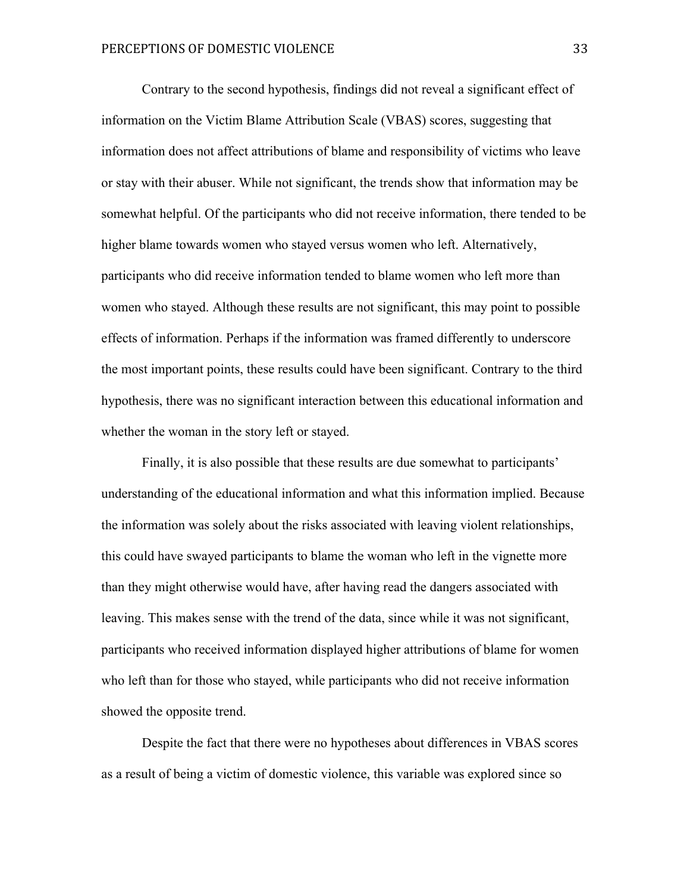Contrary to the second hypothesis, findings did not reveal a significant effect of information on the Victim Blame Attribution Scale (VBAS) scores, suggesting that information does not affect attributions of blame and responsibility of victims who leave or stay with their abuser. While not significant, the trends show that information may be somewhat helpful. Of the participants who did not receive information, there tended to be higher blame towards women who stayed versus women who left. Alternatively, participants who did receive information tended to blame women who left more than women who stayed. Although these results are not significant, this may point to possible effects of information. Perhaps if the information was framed differently to underscore the most important points, these results could have been significant. Contrary to the third hypothesis, there was no significant interaction between this educational information and whether the woman in the story left or stayed.

Finally, it is also possible that these results are due somewhat to participants' understanding of the educational information and what this information implied. Because the information was solely about the risks associated with leaving violent relationships, this could have swayed participants to blame the woman who left in the vignette more than they might otherwise would have, after having read the dangers associated with leaving. This makes sense with the trend of the data, since while it was not significant, participants who received information displayed higher attributions of blame for women who left than for those who stayed, while participants who did not receive information showed the opposite trend.

Despite the fact that there were no hypotheses about differences in VBAS scores as a result of being a victim of domestic violence, this variable was explored since so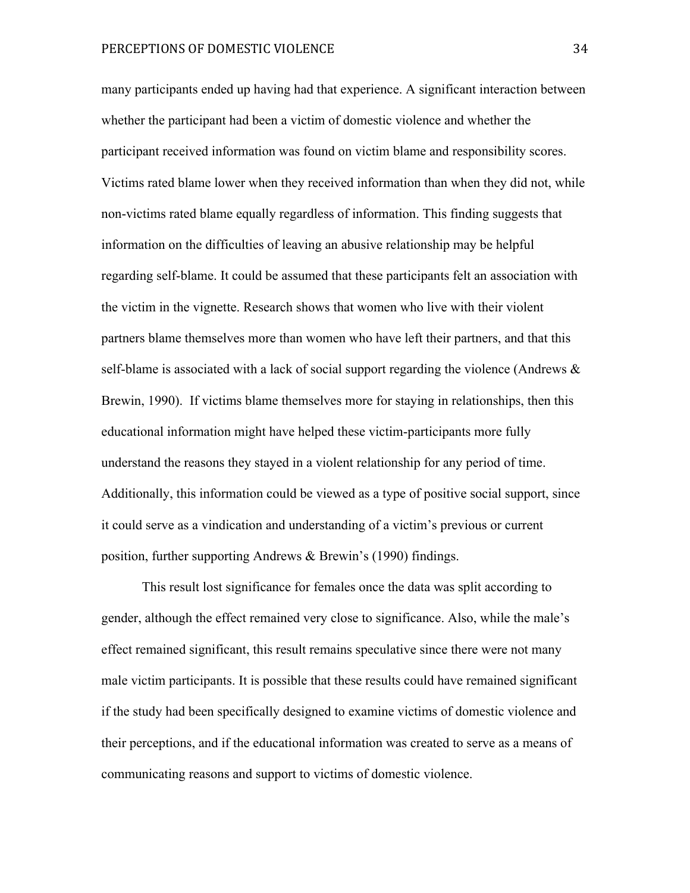many participants ended up having had that experience. A significant interaction between whether the participant had been a victim of domestic violence and whether the participant received information was found on victim blame and responsibility scores. Victims rated blame lower when they received information than when they did not, while non-victims rated blame equally regardless of information. This finding suggests that information on the difficulties of leaving an abusive relationship may be helpful regarding self-blame. It could be assumed that these participants felt an association with the victim in the vignette. Research shows that women who live with their violent partners blame themselves more than women who have left their partners, and that this self-blame is associated with a lack of social support regarding the violence (Andrews & Brewin, 1990). If victims blame themselves more for staying in relationships, then this educational information might have helped these victim-participants more fully understand the reasons they stayed in a violent relationship for any period of time. Additionally, this information could be viewed as a type of positive social support, since it could serve as a vindication and understanding of a victim's previous or current position, further supporting Andrews & Brewin's (1990) findings.

This result lost significance for females once the data was split according to gender, although the effect remained very close to significance. Also, while the male's effect remained significant, this result remains speculative since there were not many male victim participants. It is possible that these results could have remained significant if the study had been specifically designed to examine victims of domestic violence and their perceptions, and if the educational information was created to serve as a means of communicating reasons and support to victims of domestic violence.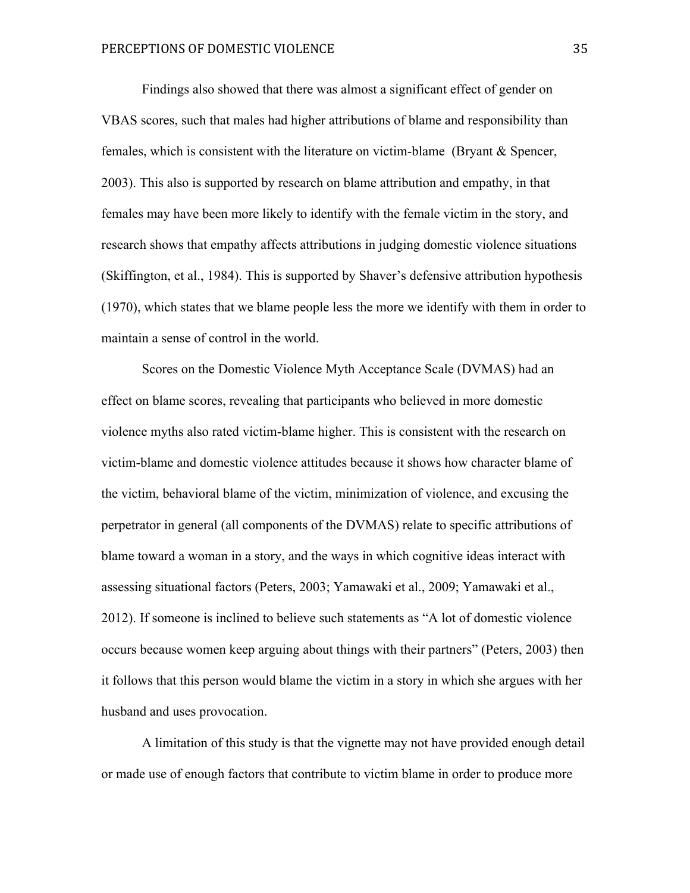Findings also showed that there was almost a significant effect of gender on VBAS scores, such that males had higher attributions of blame and responsibility than females, which is consistent with the literature on victim-blame (Bryant & Spencer, 2003). This also is supported by research on blame attribution and empathy, in that females may have been more likely to identify with the female victim in the story, and research shows that empathy affects attributions in judging domestic violence situations (Skiffington, et al., 1984). This is supported by Shaver's defensive attribution hypothesis (1970), which states that we blame people less the more we identify with them in order to maintain a sense of control in the world.

Scores on the Domestic Violence Myth Acceptance Scale (DVMAS) had an effect on blame scores, revealing that participants who believed in more domestic violence myths also rated victim-blame higher. This is consistent with the research on victim-blame and domestic violence attitudes because it shows how character blame of the victim, behavioral blame of the victim, minimization of violence, and excusing the perpetrator in general (all components of the DVMAS) relate to specific attributions of blame toward a woman in a story, and the ways in which cognitive ideas interact with assessing situational factors (Peters, 2003; Yamawaki et al., 2009; Yamawaki et al., 2012). If someone is inclined to believe such statements as "A lot of domestic violence occurs because women keep arguing about things with their partners" (Peters, 2003) then it follows that this person would blame the victim in a story in which she argues with her husband and uses provocation.

A limitation of this study is that the vignette may not have provided enough detail or made use of enough factors that contribute to victim blame in order to produce more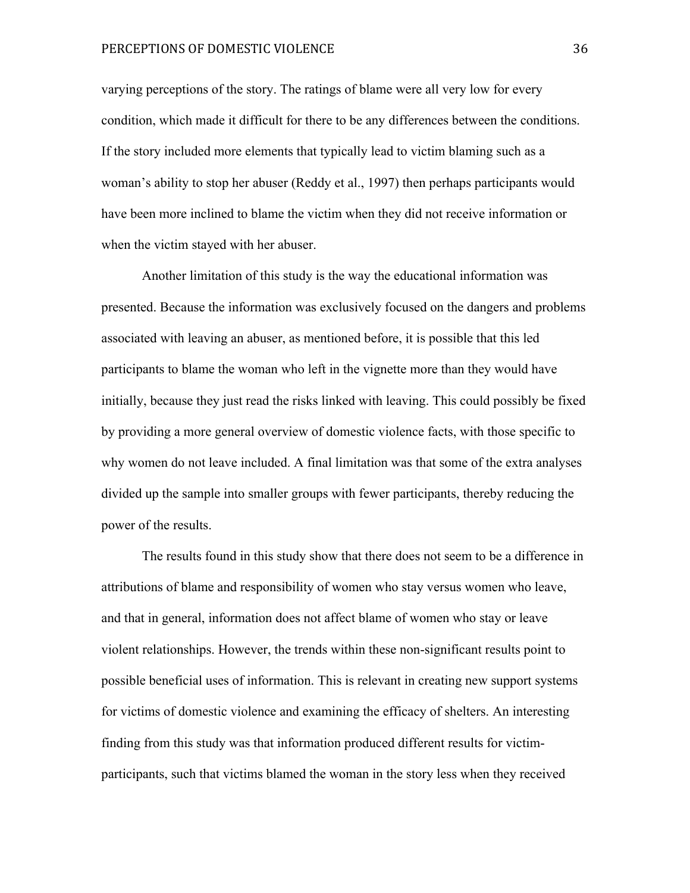#### PERCEPTIONS OF DOMESTIC VIOLENCE **SECULIARY 1999** 36

varying perceptions of the story. The ratings of blame were all very low for every condition, which made it difficult for there to be any differences between the conditions. If the story included more elements that typically lead to victim blaming such as a woman's ability to stop her abuser (Reddy et al., 1997) then perhaps participants would have been more inclined to blame the victim when they did not receive information or when the victim stayed with her abuser.

Another limitation of this study is the way the educational information was presented. Because the information was exclusively focused on the dangers and problems associated with leaving an abuser, as mentioned before, it is possible that this led participants to blame the woman who left in the vignette more than they would have initially, because they just read the risks linked with leaving. This could possibly be fixed by providing a more general overview of domestic violence facts, with those specific to why women do not leave included. A final limitation was that some of the extra analyses divided up the sample into smaller groups with fewer participants, thereby reducing the power of the results.

The results found in this study show that there does not seem to be a difference in attributions of blame and responsibility of women who stay versus women who leave, and that in general, information does not affect blame of women who stay or leave violent relationships. However, the trends within these non-significant results point to possible beneficial uses of information. This is relevant in creating new support systems for victims of domestic violence and examining the efficacy of shelters. An interesting finding from this study was that information produced different results for victimparticipants, such that victims blamed the woman in the story less when they received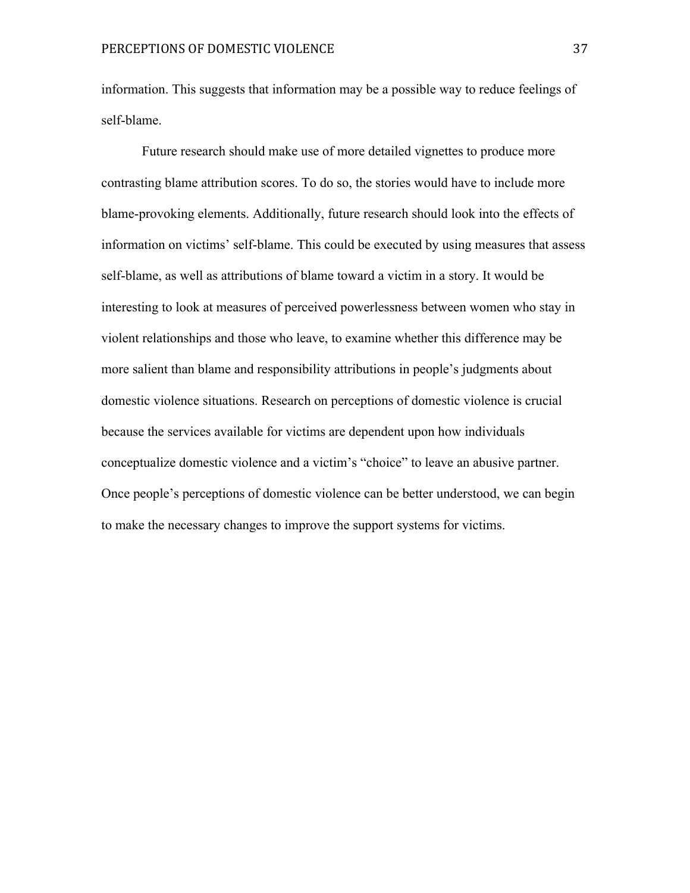information. This suggests that information may be a possible way to reduce feelings of self-blame.

Future research should make use of more detailed vignettes to produce more contrasting blame attribution scores. To do so, the stories would have to include more blame-provoking elements. Additionally, future research should look into the effects of information on victims' self-blame. This could be executed by using measures that assess self-blame, as well as attributions of blame toward a victim in a story. It would be interesting to look at measures of perceived powerlessness between women who stay in violent relationships and those who leave, to examine whether this difference may be more salient than blame and responsibility attributions in people's judgments about domestic violence situations. Research on perceptions of domestic violence is crucial because the services available for victims are dependent upon how individuals conceptualize domestic violence and a victim's "choice" to leave an abusive partner. Once people's perceptions of domestic violence can be better understood, we can begin to make the necessary changes to improve the support systems for victims.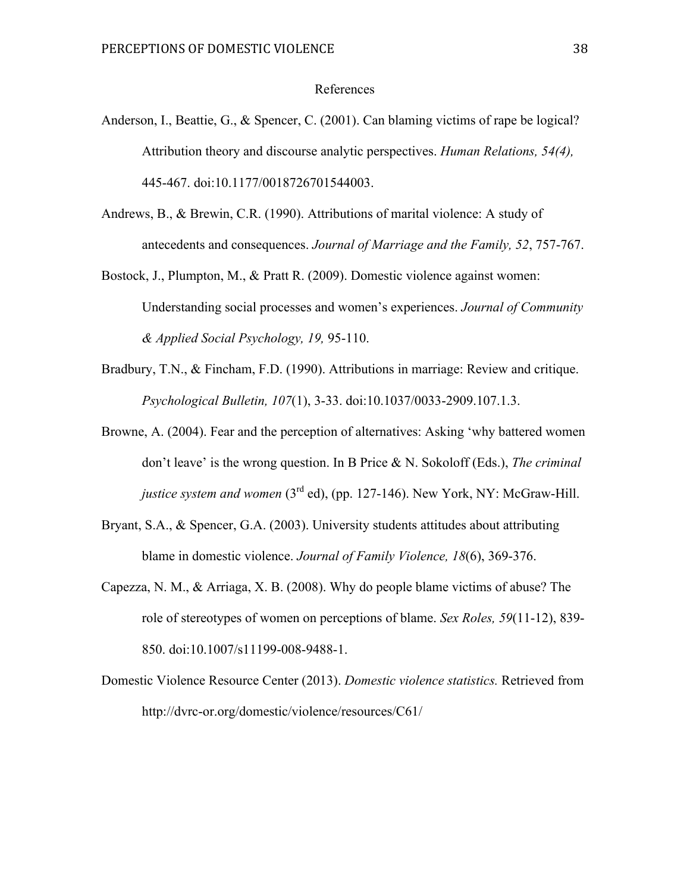#### References

- Anderson, I., Beattie, G., & Spencer, C. (2001). Can blaming victims of rape be logical? Attribution theory and discourse analytic perspectives. *Human Relations, 54(4),*  445-467. doi:10.1177/0018726701544003.
- Andrews, B., & Brewin, C.R. (1990). Attributions of marital violence: A study of antecedents and consequences. *Journal of Marriage and the Family, 52*, 757-767.
- Bostock, J., Plumpton, M., & Pratt R. (2009). Domestic violence against women: Understanding social processes and women's experiences. *Journal of Community & Applied Social Psychology, 19,* 95-110.
- Bradbury, T.N., & Fincham, F.D. (1990). Attributions in marriage: Review and critique. *Psychological Bulletin, 107*(1), 3-33. doi:10.1037/0033-2909.107.1.3.
- Browne, A. (2004). Fear and the perception of alternatives: Asking 'why battered women don't leave' is the wrong question. In B Price & N. Sokoloff (Eds.), *The criminal justice system and women* (3rd ed), (pp. 127-146). New York, NY: McGraw-Hill.
- Bryant, S.A., & Spencer, G.A. (2003). University students attitudes about attributing blame in domestic violence. *Journal of Family Violence, 18*(6), 369-376.
- Capezza, N. M., & Arriaga, X. B. (2008). Why do people blame victims of abuse? The role of stereotypes of women on perceptions of blame. *Sex Roles, 59*(11-12), 839- 850. doi:10.1007/s11199-008-9488-1.
- Domestic Violence Resource Center (2013). *Domestic violence statistics.* Retrieved from http://dvrc-or.org/domestic/violence/resources/C61/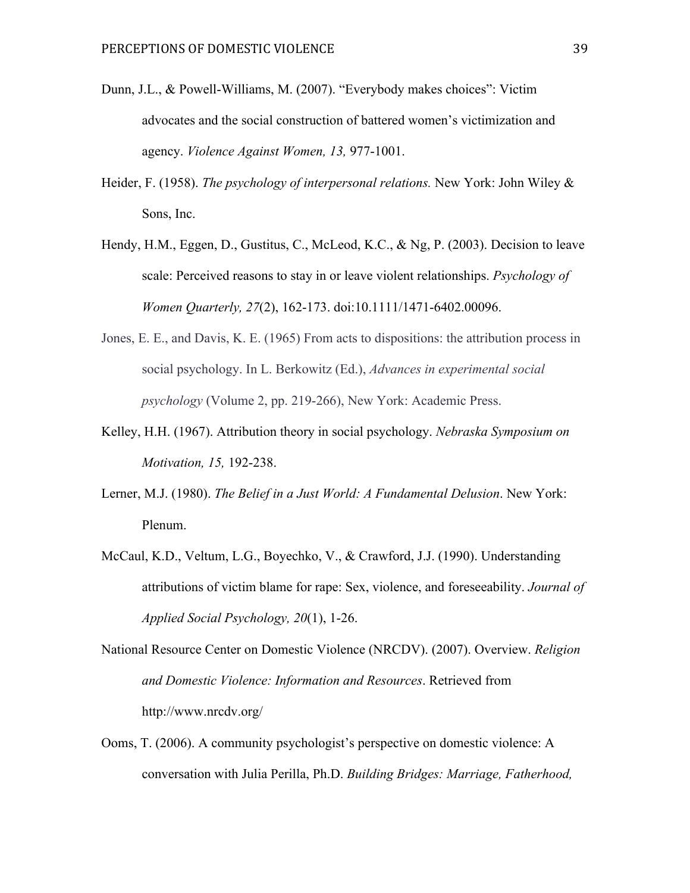- Dunn, J.L., & Powell-Williams, M. (2007). "Everybody makes choices": Victim advocates and the social construction of battered women's victimization and agency. *Violence Against Women, 13,* 977-1001.
- Heider, F. (1958). *The psychology of interpersonal relations.* New York: John Wiley & Sons, Inc.
- Hendy, H.M., Eggen, D., Gustitus, C., McLeod, K.C., & Ng, P. (2003). Decision to leave scale: Perceived reasons to stay in or leave violent relationships. *Psychology of Women Quarterly, 27*(2), 162-173. doi:10.1111/1471-6402.00096.
- Jones, E. E., and Davis, K. E. (1965) From acts to dispositions: the attribution process in social psychology. In L. Berkowitz (Ed.), *Advances in experimental social psychology* (Volume 2, pp. 219-266), New York: Academic Press.
- Kelley, H.H. (1967). Attribution theory in social psychology. *Nebraska Symposium on Motivation, 15,* 192-238.
- Lerner, M.J. (1980). *The Belief in a Just World: A Fundamental Delusion*. New York: Plenum.
- McCaul, K.D., Veltum, L.G., Boyechko, V., & Crawford, J.J. (1990). Understanding attributions of victim blame for rape: Sex, violence, and foreseeability. *Journal of Applied Social Psychology, 20*(1), 1-26.
- National Resource Center on Domestic Violence (NRCDV). (2007). Overview. *Religion and Domestic Violence: Information and Resources*. Retrieved from http://www.nrcdv.org/
- Ooms, T. (2006). A community psychologist's perspective on domestic violence: A conversation with Julia Perilla, Ph.D. *Building Bridges: Marriage, Fatherhood,*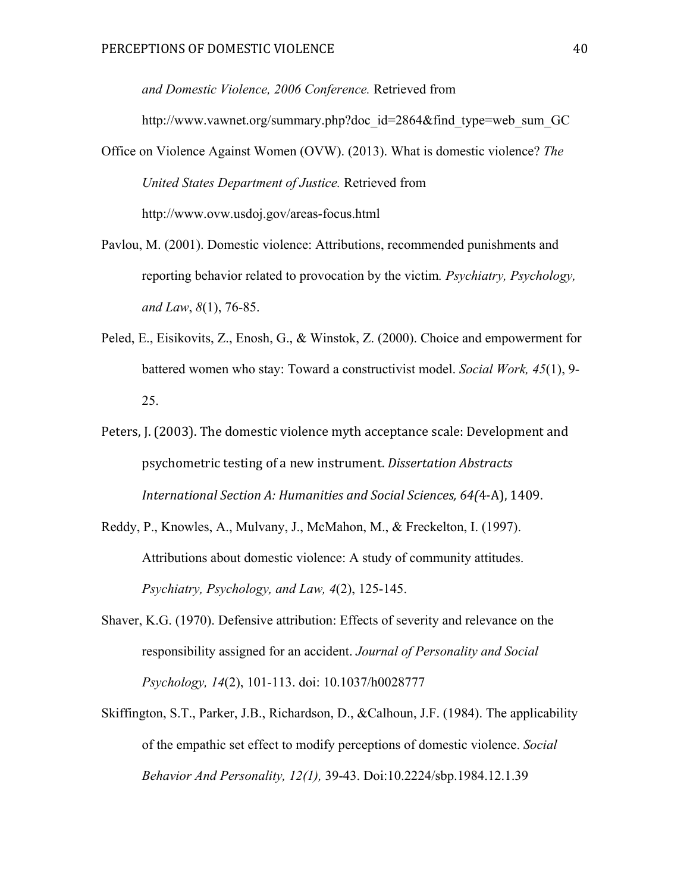*and Domestic Violence, 2006 Conference.* Retrieved from http://www.vawnet.org/summary.php?doc\_id=2864&find\_type=web\_sum\_GC Office on Violence Against Women (OVW). (2013). What is domestic violence? *The* 

*United States Department of Justice.* Retrieved from http://www.ovw.usdoj.gov/areas-focus.html

- Pavlou, M. (2001). Domestic violence: Attributions, recommended punishments and reporting behavior related to provocation by the victim*. Psychiatry, Psychology, and Law*, *8*(1), 76-85.
- Peled, E., Eisikovits, Z., Enosh, G., & Winstok, Z. (2000). Choice and empowerment for battered women who stay: Toward a constructivist model. *Social Work, 45*(1), 9- 25.
- Peters, J. (2003). The domestic violence myth acceptance scale: Development and psychometric testing of a new instrument. *Dissertation Abstracts* International Section A: Humanities and Social Sciences, 64(4-A), 1409.
- Reddy, P., Knowles, A., Mulvany, J., McMahon, M., & Freckelton, I. (1997). Attributions about domestic violence: A study of community attitudes. *Psychiatry, Psychology, and Law, 4*(2), 125-145.
- Shaver, K.G. (1970). Defensive attribution: Effects of severity and relevance on the responsibility assigned for an accident. *Journal of Personality and Social Psychology, 14*(2), 101-113. doi: 10.1037/h0028777
- Skiffington, S.T., Parker, J.B., Richardson, D., &Calhoun, J.F. (1984). The applicability of the empathic set effect to modify perceptions of domestic violence. *Social Behavior And Personality, 12(1),* 39-43. Doi:10.2224/sbp.1984.12.1.39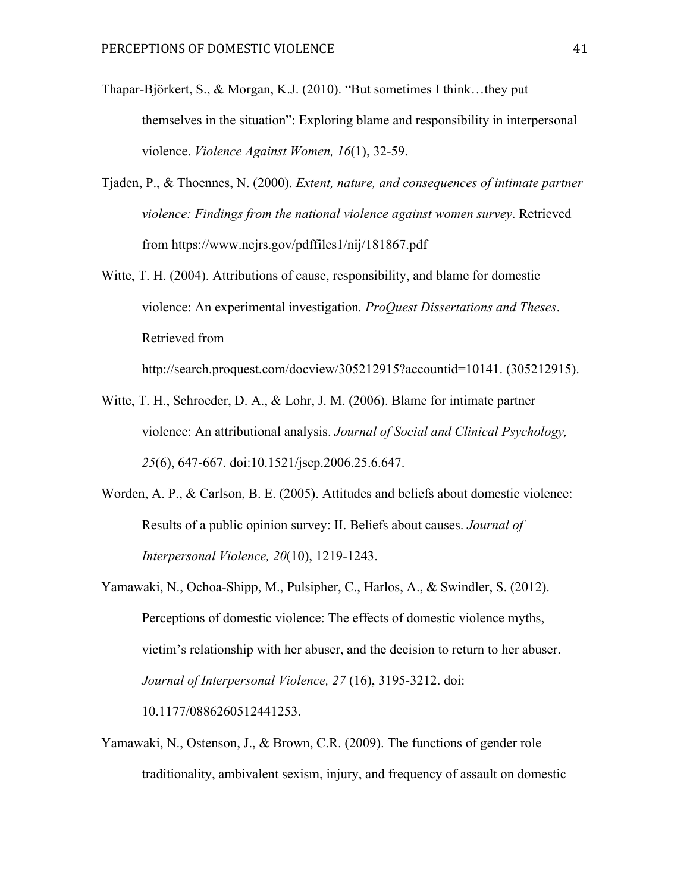- Thapar-Björkert, S., & Morgan, K.J. (2010). "But sometimes I think…they put themselves in the situation": Exploring blame and responsibility in interpersonal violence. *Violence Against Women, 16*(1), 32-59.
- Tjaden, P., & Thoennes, N. (2000). *Extent, nature, and consequences of intimate partner violence: Findings from the national violence against women survey*. Retrieved from https://www.ncjrs.gov/pdffiles1/nij/181867.pdf
- Witte, T. H. (2004). Attributions of cause, responsibility, and blame for domestic violence: An experimental investigation*. ProQuest Dissertations and Theses*. Retrieved from

http://search.proquest.com/docview/305212915?accountid=10141. (305212915).

- Witte, T. H., Schroeder, D. A., & Lohr, J. M. (2006). Blame for intimate partner violence: An attributional analysis. *Journal of Social and Clinical Psychology, 25*(6), 647-667. doi:10.1521/jscp.2006.25.6.647.
- Worden, A. P., & Carlson, B. E. (2005). Attitudes and beliefs about domestic violence: Results of a public opinion survey: II. Beliefs about causes. *Journal of Interpersonal Violence, 20*(10), 1219-1243.
- Yamawaki, N., Ochoa-Shipp, M., Pulsipher, C., Harlos, A., & Swindler, S. (2012). Perceptions of domestic violence: The effects of domestic violence myths, victim's relationship with her abuser, and the decision to return to her abuser. *Journal of Interpersonal Violence, 27* (16), 3195-3212. doi: 10.1177/0886260512441253.
- Yamawaki, N., Ostenson, J., & Brown, C.R. (2009). The functions of gender role traditionality, ambivalent sexism, injury, and frequency of assault on domestic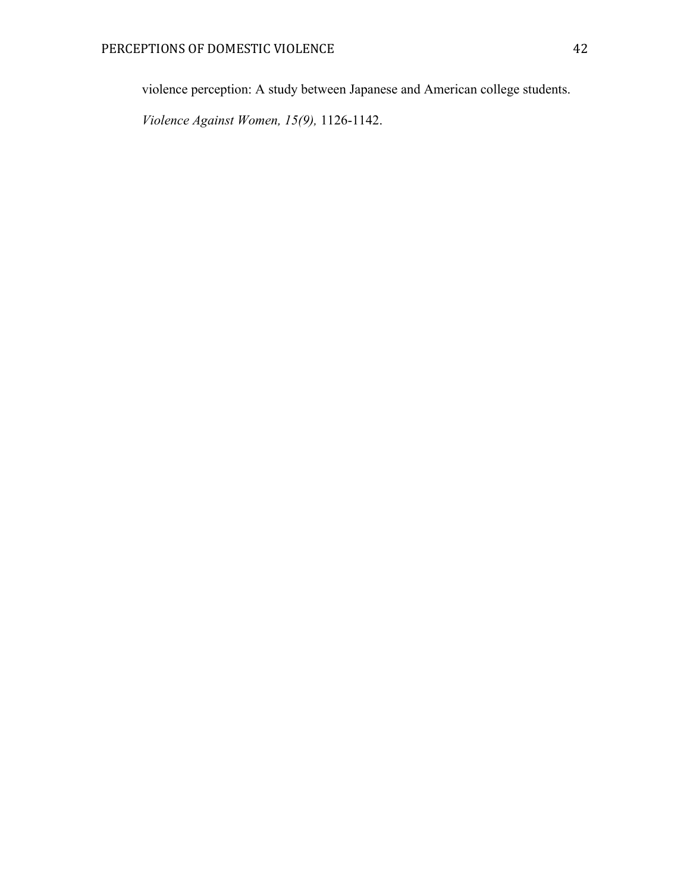violence perception: A study between Japanese and American college students.

*Violence Against Women, 15(9),* 1126-1142.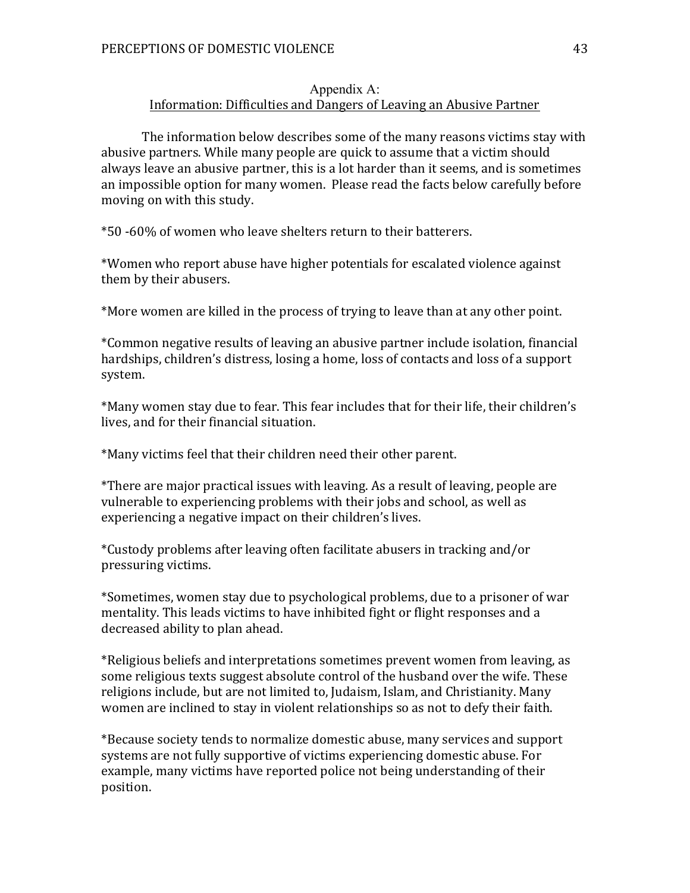#### Appendix A: Information: Difficulties and Dangers of Leaving an Abusive Partner

The information below describes some of the many reasons victims stay with abusive partners. While many people are quick to assume that a victim should always leave an abusive partner, this is a lot harder than it seems, and is sometimes an impossible option for many women. Please read the facts below carefully before moving on with this study.

\*50 -60% of women who leave shelters return to their batterers.

\*Women who report abuse have higher potentials for escalated violence against them by their abusers.

\*More women are killed in the process of trying to leave than at any other point.

\*Common negative results of leaving an abusive partner include isolation, financial hardships, children's distress, losing a home, loss of contacts and loss of a support system.

\*Many women stay due to fear. This fear includes that for their life, their children's lives, and for their financial situation.

\*Many victims feel that their children need their other parent.

\*There are major practical issues with leaving. As a result of leaving, people are vulnerable to experiencing problems with their jobs and school, as well as experiencing a negative impact on their children's lives.

\*Custody problems after leaving often facilitate abusers in tracking and/or pressuring victims.

\*Sometimes, women stay due to psychological problems, due to a prisoner of war mentality. This leads victims to have inhibited fight or flight responses and a decreased ability to plan ahead.

\*Religious beliefs and interpretations sometimes prevent women from leaving, as some religious texts suggest absolute control of the husband over the wife. These religions include, but are not limited to, Judaism, Islam, and Christianity. Many women are inclined to stay in violent relationships so as not to defy their faith.

\*Because society tends to normalize domestic abuse, many services and support systems are not fully supportive of victims experiencing domestic abuse. For example, many victims have reported police not being understanding of their position.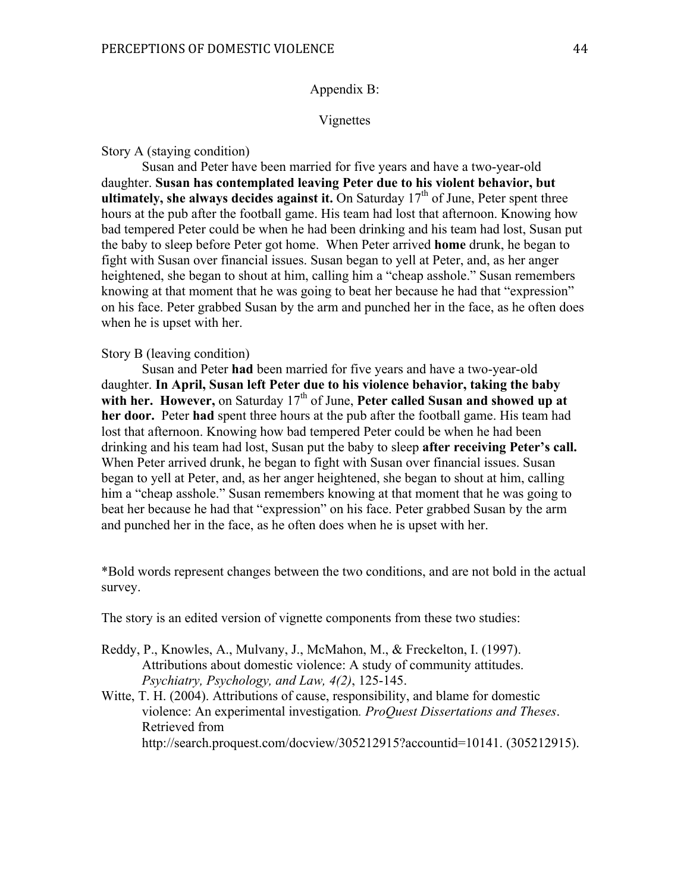#### Appendix B:

#### Vignettes

#### Story A (staying condition)

Susan and Peter have been married for five years and have a two-year-old daughter. **Susan has contemplated leaving Peter due to his violent behavior, but ultimately, she always decides against it.** On Saturday  $17<sup>th</sup>$  of June, Peter spent three hours at the pub after the football game. His team had lost that afternoon. Knowing how bad tempered Peter could be when he had been drinking and his team had lost, Susan put the baby to sleep before Peter got home. When Peter arrived **home** drunk, he began to fight with Susan over financial issues. Susan began to yell at Peter, and, as her anger heightened, she began to shout at him, calling him a "cheap asshole." Susan remembers knowing at that moment that he was going to beat her because he had that "expression" on his face. Peter grabbed Susan by the arm and punched her in the face, as he often does when he is upset with her.

#### Story B (leaving condition)

Susan and Peter **had** been married for five years and have a two-year-old daughter. **In April, Susan left Peter due to his violence behavior, taking the baby**  with her. However, on Saturday 17<sup>th</sup> of June, Peter called Susan and showed up at **her door.** Peter **had** spent three hours at the pub after the football game. His team had lost that afternoon. Knowing how bad tempered Peter could be when he had been drinking and his team had lost, Susan put the baby to sleep **after receiving Peter's call.**  When Peter arrived drunk, he began to fight with Susan over financial issues. Susan began to yell at Peter, and, as her anger heightened, she began to shout at him, calling him a "cheap asshole." Susan remembers knowing at that moment that he was going to beat her because he had that "expression" on his face. Peter grabbed Susan by the arm and punched her in the face, as he often does when he is upset with her.

\*Bold words represent changes between the two conditions, and are not bold in the actual survey.

The story is an edited version of vignette components from these two studies:

- Reddy, P., Knowles, A., Mulvany, J., McMahon, M., & Freckelton, I. (1997). Attributions about domestic violence: A study of community attitudes. *Psychiatry, Psychology, and Law, 4(2)*, 125-145.
- Witte, T. H. (2004). Attributions of cause, responsibility, and blame for domestic violence: An experimental investigation*. ProQuest Dissertations and Theses*. Retrieved from

http://search.proquest.com/docview/305212915?accountid=10141. (305212915).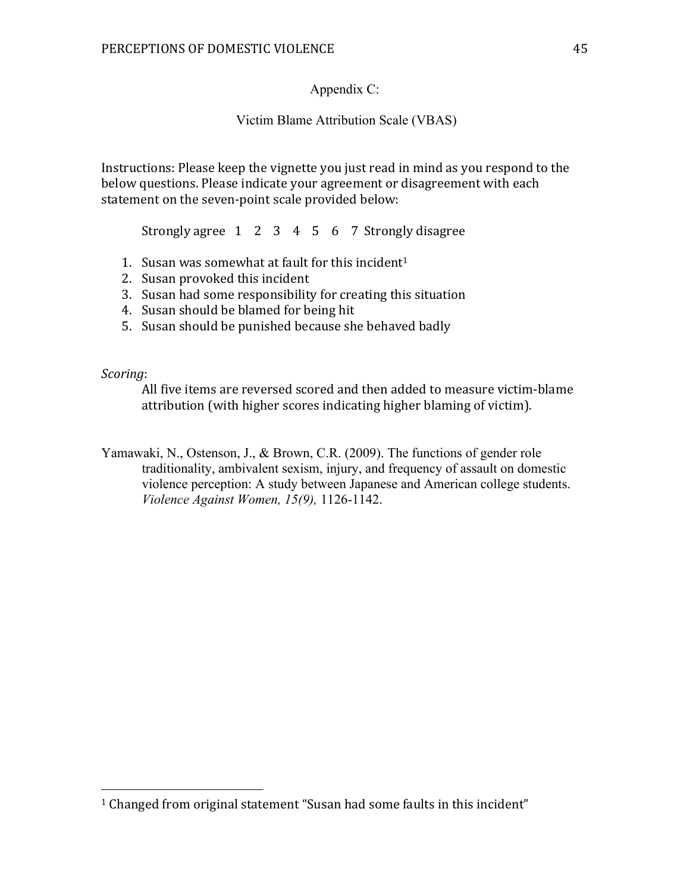Appendix C:

Victim Blame Attribution Scale (VBAS)

Instructions: Please keep the vignette you just read in mind as you respond to the below questions. Please indicate your agreement or disagreement with each statement on the seven-point scale provided below:

Strongly agree  $\begin{array}{cccc} 1 & 2 & 3 & 4 & 5 & 6 & 7 & \text{Strongly disagree} \end{array}$ 

- 1. Susan was somewhat at fault for this incident<sup>1</sup>
- 2. Susan provoked this incident

 

- 3. Susan had some responsibility for creating this situation
- 4. Susan should be blamed for being hit
- 5. Susan should be punished because she behaved badly

*Scoring*:

All five items are reversed scored and then added to measure victim-blame attribution (with higher scores indicating higher blaming of victim).

Yamawaki, N., Ostenson, J., & Brown, C.R. (2009). The functions of gender role traditionality, ambivalent sexism, injury, and frequency of assault on domestic violence perception: A study between Japanese and American college students. *Violence Against Women, 15(9),* 1126-1142.

 $1$  Changed from original statement "Susan had some faults in this incident"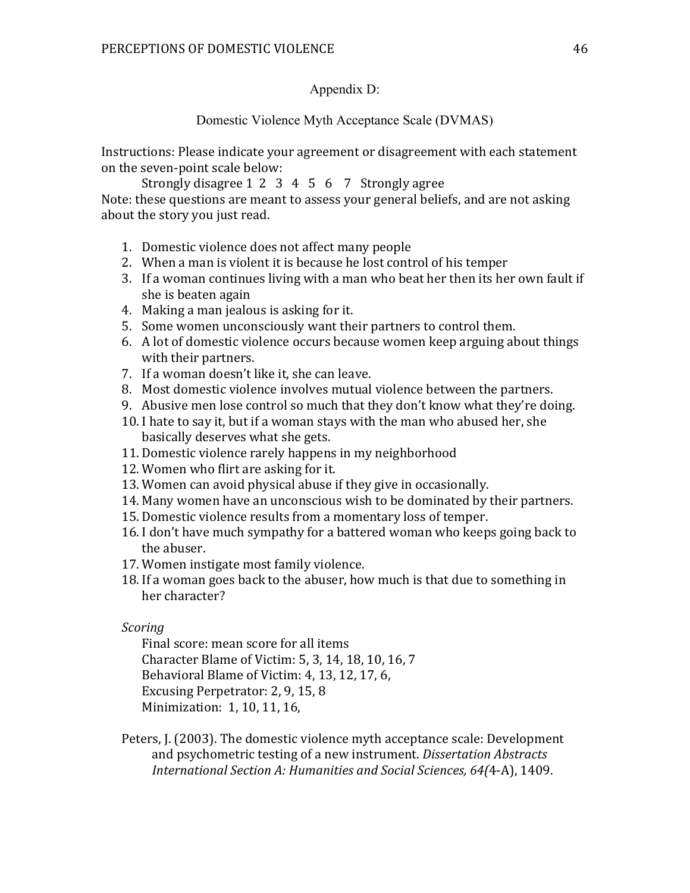## Appendix D:

## Domestic Violence Myth Acceptance Scale (DVMAS)

Instructions: Please indicate your agreement or disagreement with each statement on the seven-point scale below:

Strongly disagree  $1 \t2 \t3 \t4 \t5 \t6 \t7$  Strongly agree Note: these questions are meant to assess your general beliefs, and are not asking about the story you just read.

- 1. Domestic violence does not affect many people
- 2. When a man is violent it is because he lost control of his temper
- 3. If a woman continues living with a man who beat her then its her own fault if she is beaten again
- 4. Making a man jealous is asking for it.
- 5. Some women unconsciously want their partners to control them.
- 6. A lot of domestic violence occurs because women keep arguing about things with their partners.
- 7. If a woman doesn't like it, she can leave.
- 8. Most domestic violence involves mutual violence between the partners.
- 9. Abusive men lose control so much that they don't know what they're doing.
- 10. I hate to say it, but if a woman stays with the man who abused her, she basically deserves what she gets.
- 11. Domestic violence rarely happens in my neighborhood
- 12. Women who flirt are asking for it.
- 13. Women can avoid physical abuse if they give in occasionally.
- 14. Many women have an unconscious wish to be dominated by their partners.
- 15. Domestic violence results from a momentary loss of temper.
- 16. I don't have much sympathy for a battered woman who keeps going back to the abuser.
- 17. Women instigate most family violence.
- 18. If a woman goes back to the abuser, how much is that due to something in her character?

## *Scoring*

Final score: mean score for all items Character Blame of Victim: 5, 3, 14, 18, 10, 16, 7 Behavioral Blame of Victim: 4, 13, 12, 17, 6, Excusing Perpetrator: 2, 9, 15, 8 Minimization: 1, 10, 11, 16,

Peters, J. (2003). The domestic violence myth acceptance scale: Development and psychometric testing of a new instrument. *Dissertation Abstracts International Section A: Humanities and Social Sciences, 64(*4-A), 1409.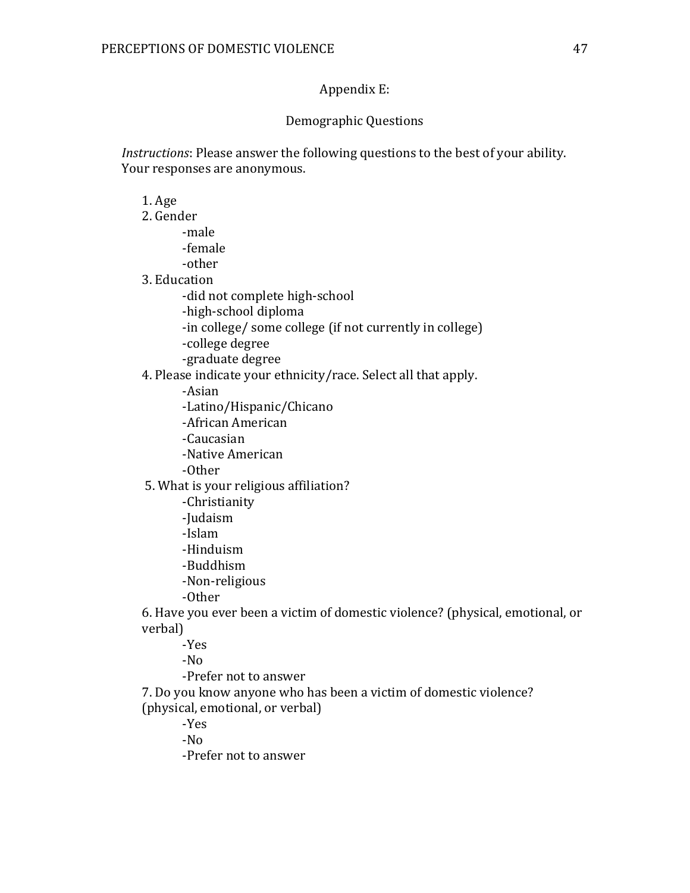## Appendix E:

## Demographic Questions

*Instructions*: Please answer the following questions to the best of your ability. Your responses are anonymous.

1. Age

- 2. Gender
	- -male -female -other
- 3. Education
	- - -did not complete high-school
		- -high-school diploma
		- -in college/ some college (if not currently in college)
		- -college degree
		- -graduate degree

4. Please indicate your ethnicity/race. Select all that apply.

- -Asian
- -Latino/Hispanic/Chicano
- -African American
- -Caucasian
- -Native American
- -Other
- 5. What is your religious affiliation?
	- -Christianity
	- -Judaism
	- -Islam
	- -Hinduism
	- -Buddhism
	- -Non-religious
	- -Other

6. Have you ever been a victim of domestic violence? (physical, emotional, or verbal)

- -Yes
- -No
- -Prefer not to answer
- 7. Do you know anyone who has been a victim of domestic violence? (physical, emotional, or verbal)
	- -Yes
	- -No
	- -Prefer not to answer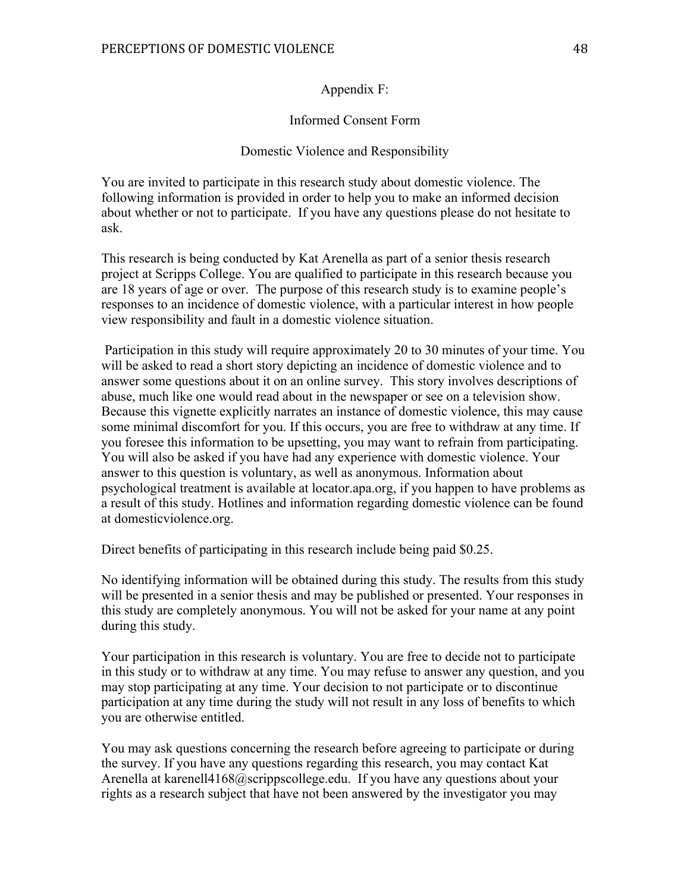#### Appendix F:

#### Informed Consent Form

#### Domestic Violence and Responsibility

You are invited to participate in this research study about domestic violence. The following information is provided in order to help you to make an informed decision about whether or not to participate. If you have any questions please do not hesitate to ask.

This research is being conducted by Kat Arenella as part of a senior thesis research project at Scripps College. You are qualified to participate in this research because you are 18 years of age or over. The purpose of this research study is to examine people's responses to an incidence of domestic violence, with a particular interest in how people view responsibility and fault in a domestic violence situation.

Participation in this study will require approximately 20 to 30 minutes of your time. You will be asked to read a short story depicting an incidence of domestic violence and to answer some questions about it on an online survey. This story involves descriptions of abuse, much like one would read about in the newspaper or see on a television show. Because this vignette explicitly narrates an instance of domestic violence, this may cause some minimal discomfort for you. If this occurs, you are free to withdraw at any time. If you foresee this information to be upsetting, you may want to refrain from participating. You will also be asked if you have had any experience with domestic violence. Your answer to this question is voluntary, as well as anonymous. Information about psychological treatment is available at locator.apa.org, if you happen to have problems as a result of this study. Hotlines and information regarding domestic violence can be found at domesticviolence.org.

Direct benefits of participating in this research include being paid \$0.25.

No identifying information will be obtained during this study. The results from this study will be presented in a senior thesis and may be published or presented. Your responses in this study are completely anonymous. You will not be asked for your name at any point during this study.

Your participation in this research is voluntary. You are free to decide not to participate in this study or to withdraw at any time. You may refuse to answer any question, and you may stop participating at any time. Your decision to not participate or to discontinue participation at any time during the study will not result in any loss of benefits to which you are otherwise entitled.

You may ask questions concerning the research before agreeing to participate or during the survey. If you have any questions regarding this research, you may contact Kat Arenella at karenell4168@scrippscollege.edu. If you have any questions about your rights as a research subject that have not been answered by the investigator you may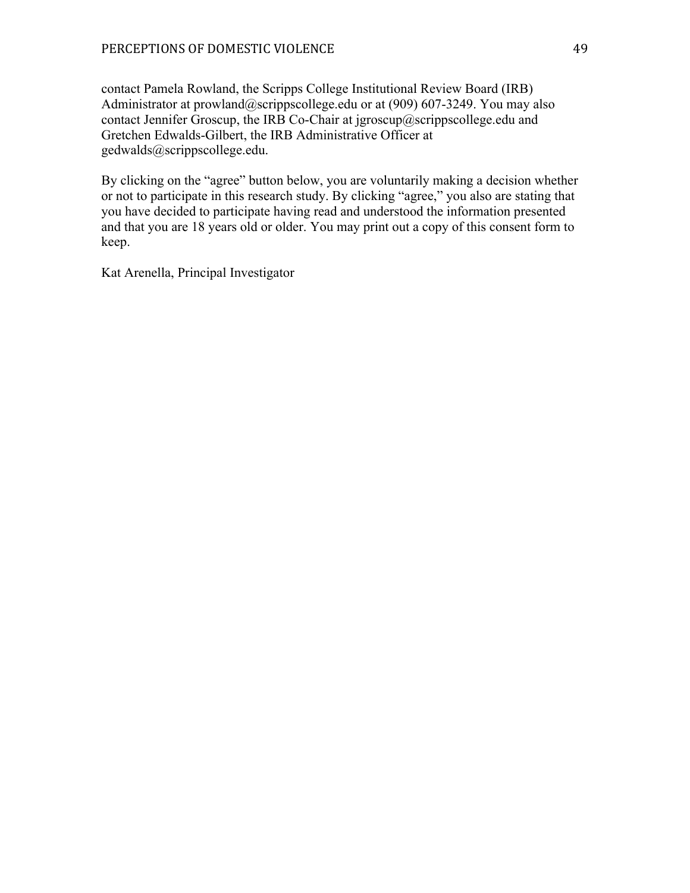contact Pamela Rowland, the Scripps College Institutional Review Board (IRB) Administrator at prowland@scrippscollege.edu or at (909) 607-3249. You may also contact Jennifer Groscup, the IRB Co-Chair at jgroscup@scrippscollege.edu and Gretchen Edwalds-Gilbert, the IRB Administrative Officer at gedwalds@scrippscollege.edu.

By clicking on the "agree" button below, you are voluntarily making a decision whether or not to participate in this research study. By clicking "agree," you also are stating that you have decided to participate having read and understood the information presented and that you are 18 years old or older. You may print out a copy of this consent form to keep.

Kat Arenella, Principal Investigator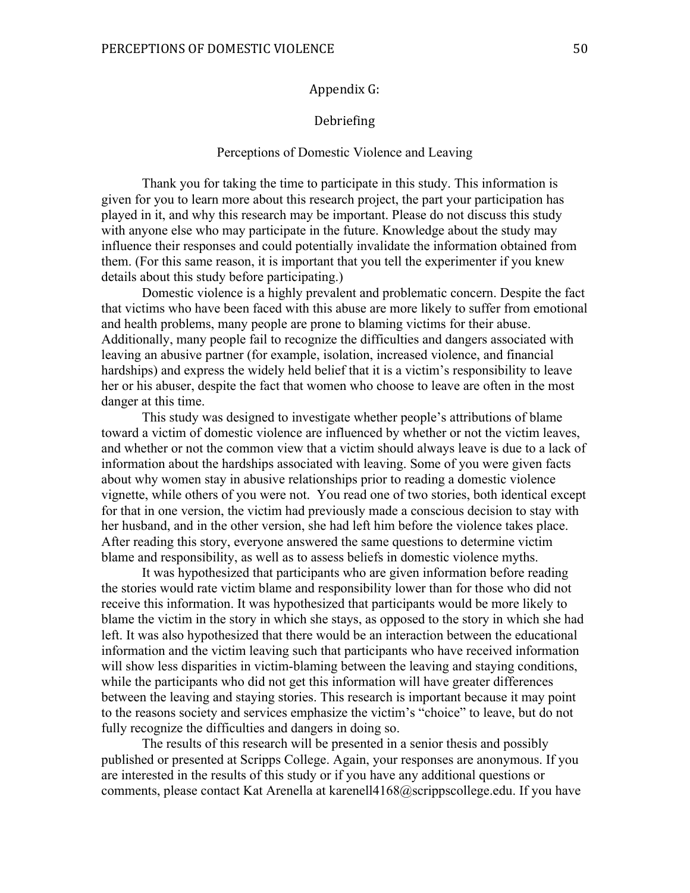#### Appendix G:

#### Debriefing

#### Perceptions of Domestic Violence and Leaving

Thank you for taking the time to participate in this study. This information is given for you to learn more about this research project, the part your participation has played in it, and why this research may be important. Please do not discuss this study with anyone else who may participate in the future. Knowledge about the study may influence their responses and could potentially invalidate the information obtained from them. (For this same reason, it is important that you tell the experimenter if you knew details about this study before participating.)

Domestic violence is a highly prevalent and problematic concern. Despite the fact that victims who have been faced with this abuse are more likely to suffer from emotional and health problems, many people are prone to blaming victims for their abuse. Additionally, many people fail to recognize the difficulties and dangers associated with leaving an abusive partner (for example, isolation, increased violence, and financial hardships) and express the widely held belief that it is a victim's responsibility to leave her or his abuser, despite the fact that women who choose to leave are often in the most danger at this time.

This study was designed to investigate whether people's attributions of blame toward a victim of domestic violence are influenced by whether or not the victim leaves, and whether or not the common view that a victim should always leave is due to a lack of information about the hardships associated with leaving. Some of you were given facts about why women stay in abusive relationships prior to reading a domestic violence vignette, while others of you were not. You read one of two stories, both identical except for that in one version, the victim had previously made a conscious decision to stay with her husband, and in the other version, she had left him before the violence takes place. After reading this story, everyone answered the same questions to determine victim blame and responsibility, as well as to assess beliefs in domestic violence myths.

It was hypothesized that participants who are given information before reading the stories would rate victim blame and responsibility lower than for those who did not receive this information. It was hypothesized that participants would be more likely to blame the victim in the story in which she stays, as opposed to the story in which she had left. It was also hypothesized that there would be an interaction between the educational information and the victim leaving such that participants who have received information will show less disparities in victim-blaming between the leaving and staying conditions, while the participants who did not get this information will have greater differences between the leaving and staying stories. This research is important because it may point to the reasons society and services emphasize the victim's "choice" to leave, but do not fully recognize the difficulties and dangers in doing so.

The results of this research will be presented in a senior thesis and possibly published or presented at Scripps College. Again, your responses are anonymous. If you are interested in the results of this study or if you have any additional questions or comments, please contact Kat Arenella at karenell4168@scrippscollege.edu. If you have